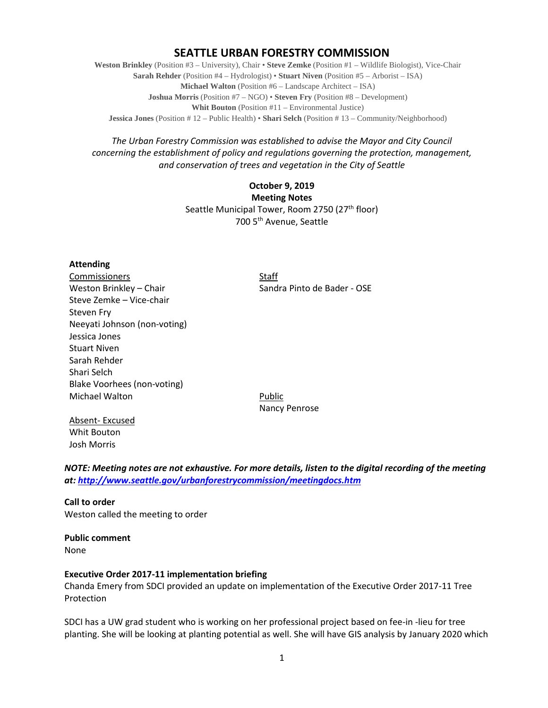## **SEATTLE URBAN FORESTRY COMMISSION**

**Weston Brinkley** (Position #3 – University), Chair • **Steve Zemke** (Position #1 – Wildlife Biologist), Vice-Chair **Sarah Rehder** (Position #4 – Hydrologist) • **Stuart Niven** (Position #5 – Arborist – ISA) **Michael Walton** (Position #6 – Landscape Architect – ISA) **Joshua Morris** (Position #7 – NGO) • **Steven Fry** (Position #8 – Development) **Whit Bouton** (Position #11 – Environmental Justice) **Jessica Jones** (Position # 12 – Public Health) • **Shari Selch** (Position # 13 – Community/Neighborhood)

## *The Urban Forestry Commission was established to advise the Mayor and City Council concerning the establishment of policy and regulations governing the protection, management, and conservation of trees and vegetation in the City of Seattle*

## **October 9, 2019 Meeting Notes** Seattle Municipal Tower, Room 2750 (27<sup>th</sup> floor) 700 5th Avenue, Seattle

## **Attending**

Commissioners Staff Weston Brinkley – Chair Sandra Pinto de Bader - OSE Steve Zemke – Vice-chair Steven Fry Neeyati Johnson (non-voting) Jessica Jones Stuart Niven Sarah Rehder Shari Selch Blake Voorhees (non-voting) Michael Walton **Public** 

Nancy Penrose

Absent- Excused Whit Bouton Josh Morris

*NOTE: Meeting notes are not exhaustive. For more details, listen to the digital recording of the meeting at:<http://www.seattle.gov/urbanforestrycommission/meetingdocs.htm>*

**Call to order**  Weston called the meeting to order

**Public comment** None

## **Executive Order 2017-11 implementation briefing**

Chanda Emery from SDCI provided an update on implementation of the Executive Order 2017-11 Tree Protection

SDCI has a UW grad student who is working on her professional project based on fee-in -lieu for tree planting. She will be looking at planting potential as well. She will have GIS analysis by January 2020 which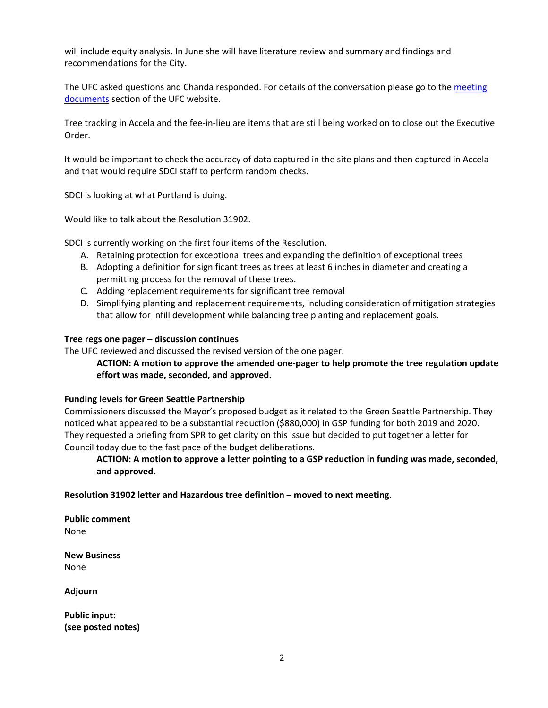will include equity analysis. In June she will have literature review and summary and findings and recommendations for the City.

The UFC asked questions and Chanda responded. For details of the conversation please go to the meeting [documents](http://www.seattle.gov/urbanforestrycommission/meetingdocuments) section of the UFC website.

Tree tracking in Accela and the fee-in-lieu are items that are still being worked on to close out the Executive Order.

It would be important to check the accuracy of data captured in the site plans and then captured in Accela and that would require SDCI staff to perform random checks.

SDCI is looking at what Portland is doing.

Would like to talk about the Resolution 31902.

SDCI is currently working on the first four items of the Resolution.

- A. Retaining protection for exceptional trees and expanding the definition of exceptional trees
- B. Adopting a definition for significant trees as trees at least 6 inches in diameter and creating a permitting process for the removal of these trees.
- C. Adding replacement requirements for significant tree removal
- D. Simplifying planting and replacement requirements, including consideration of mitigation strategies that allow for infill development while balancing tree planting and replacement goals.

## **Tree regs one pager – discussion continues**

The UFC reviewed and discussed the revised version of the one pager.

## **ACTION: A motion to approve the amended one-pager to help promote the tree regulation update effort was made, seconded, and approved.**

## **Funding levels for Green Seattle Partnership**

Commissioners discussed the Mayor's proposed budget as it related to the Green Seattle Partnership. They noticed what appeared to be a substantial reduction (\$880,000) in GSP funding for both 2019 and 2020. They requested a briefing from SPR to get clarity on this issue but decided to put together a letter for Council today due to the fast pace of the budget deliberations.

## **ACTION: A motion to approve a letter pointing to a GSP reduction in funding was made, seconded, and approved.**

**Resolution 31902 letter and Hazardous tree definition – moved to next meeting.** 

**Public comment** None

**New Business** None

**Adjourn**

**Public input: (see posted notes)**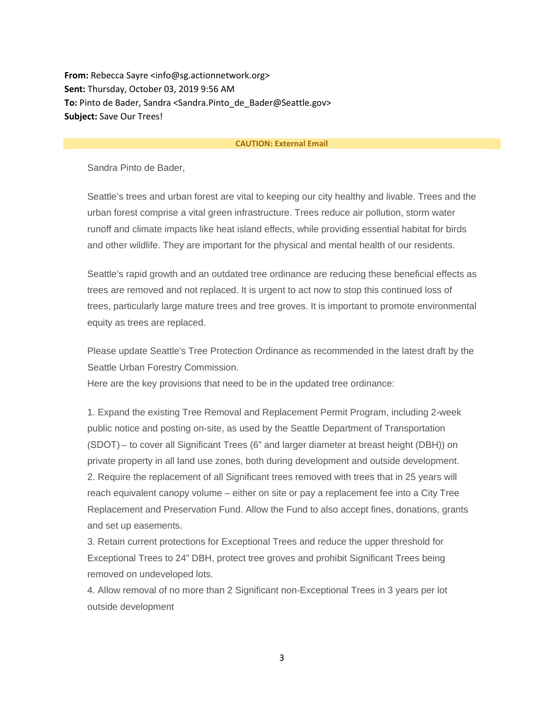**From:** Rebecca Sayre <info@sg.actionnetwork.org> **Sent:** Thursday, October 03, 2019 9:56 AM **To:** Pinto de Bader, Sandra <Sandra.Pinto\_de\_Bader@Seattle.gov> **Subject:** Save Our Trees!

#### **CAUTION: External Email**

Sandra Pinto de Bader,

Seattle's trees and urban forest are vital to keeping our city healthy and livable. Trees and the urban forest comprise a vital green infrastructure. Trees reduce air pollution, storm water runoff and climate impacts like heat island effects, while providing essential habitat for birds and other wildlife. They are important for the physical and mental health of our residents.

Seattle's rapid growth and an outdated tree ordinance are reducing these beneficial effects as trees are removed and not replaced. It is urgent to act now to stop this continued loss of trees, particularly large mature trees and tree groves. It is important to promote environmental equity as trees are replaced.

Please update Seattle's Tree Protection Ordinance as recommended in the latest draft by the Seattle Urban Forestry Commission.

Here are the key provisions that need to be in the updated tree ordinance:

1. Expand the existing Tree Removal and Replacement Permit Program, including 2-week public notice and posting on-site, as used by the Seattle Department of Transportation (SDOT) – to cover all Significant Trees (6" and larger diameter at breast height (DBH)) on private property in all land use zones, both during development and outside development. 2. Require the replacement of all Significant trees removed with trees that in 25 years will reach equivalent canopy volume – either on site or pay a replacement fee into a City Tree Replacement and Preservation Fund. Allow the Fund to also accept fines, donations, grants and set up easements.

3. Retain current protections for Exceptional Trees and reduce the upper threshold for Exceptional Trees to 24" DBH, protect tree groves and prohibit Significant Trees being removed on undeveloped lots.

4. Allow removal of no more than 2 Significant non-Exceptional Trees in 3 years per lot outside development

3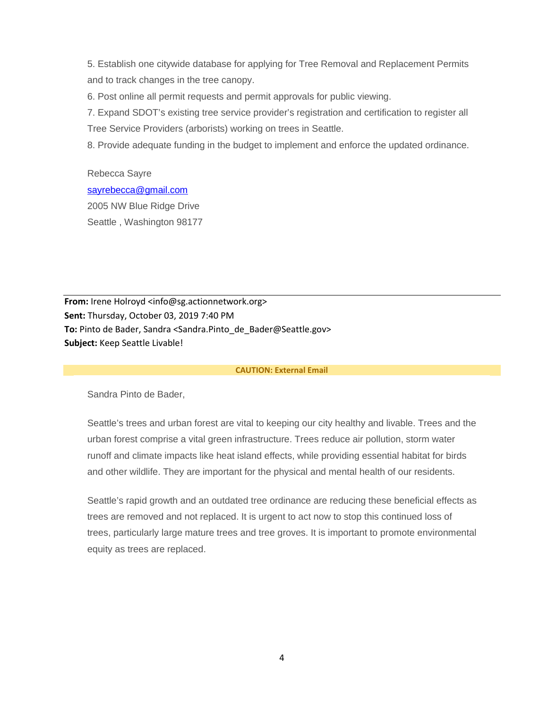5. Establish one citywide database for applying for Tree Removal and Replacement Permits and to track changes in the tree canopy.

6. Post online all permit requests and permit approvals for public viewing.

7. Expand SDOT's existing tree service provider's registration and certification to register all Tree Service Providers (arborists) working on trees in Seattle.

8. Provide adequate funding in the budget to implement and enforce the updated ordinance.

Rebecca Sayre [sayrebecca@gmail.com](mailto:sayrebecca@gmail.com) 2005 NW Blue Ridge Drive Seattle , Washington 98177

**From:** Irene Holroyd <info@sg.actionnetwork.org> **Sent:** Thursday, October 03, 2019 7:40 PM **To:** Pinto de Bader, Sandra <Sandra.Pinto\_de\_Bader@Seattle.gov> **Subject:** Keep Seattle Livable!

#### **CAUTION: External Email**

Sandra Pinto de Bader,

Seattle's trees and urban forest are vital to keeping our city healthy and livable. Trees and the urban forest comprise a vital green infrastructure. Trees reduce air pollution, storm water runoff and climate impacts like heat island effects, while providing essential habitat for birds and other wildlife. They are important for the physical and mental health of our residents.

Seattle's rapid growth and an outdated tree ordinance are reducing these beneficial effects as trees are removed and not replaced. It is urgent to act now to stop this continued loss of trees, particularly large mature trees and tree groves. It is important to promote environmental equity as trees are replaced.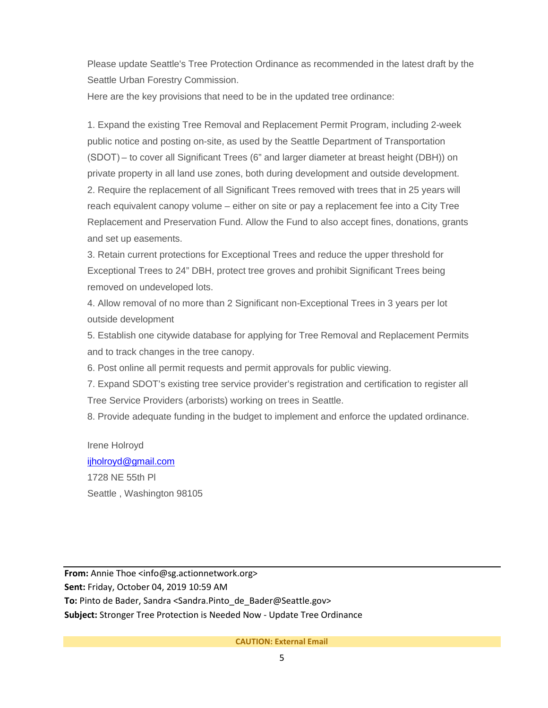Please update Seattle's Tree Protection Ordinance as recommended in the latest draft by the Seattle Urban Forestry Commission.

Here are the key provisions that need to be in the updated tree ordinance:

1. Expand the existing Tree Removal and Replacement Permit Program, including 2-week public notice and posting on-site, as used by the Seattle Department of Transportation (SDOT) – to cover all Significant Trees (6" and larger diameter at breast height (DBH)) on private property in all land use zones, both during development and outside development. 2. Require the replacement of all Significant Trees removed with trees that in 25 years will reach equivalent canopy volume – either on site or pay a replacement fee into a City Tree Replacement and Preservation Fund. Allow the Fund to also accept fines, donations, grants and set up easements.

3. Retain current protections for Exceptional Trees and reduce the upper threshold for Exceptional Trees to 24" DBH, protect tree groves and prohibit Significant Trees being removed on undeveloped lots.

4. Allow removal of no more than 2 Significant non-Exceptional Trees in 3 years per lot outside development

5. Establish one citywide database for applying for Tree Removal and Replacement Permits and to track changes in the tree canopy.

6. Post online all permit requests and permit approvals for public viewing.

7. Expand SDOT's existing tree service provider's registration and certification to register all Tree Service Providers (arborists) working on trees in Seattle.

8. Provide adequate funding in the budget to implement and enforce the updated ordinance.

Irene Holroyd [ijholroyd@gmail.com](mailto:ijholroyd@gmail.com) 1728 NE 55th Pl Seattle , Washington 98105

**From:** Annie Thoe <info@sg.actionnetwork.org> **Sent:** Friday, October 04, 2019 10:59 AM To: Pinto de Bader, Sandra <Sandra.Pinto de Bader@Seattle.gov> **Subject:** Stronger Tree Protection is Needed Now - Update Tree Ordinance

**CAUTION: External Email**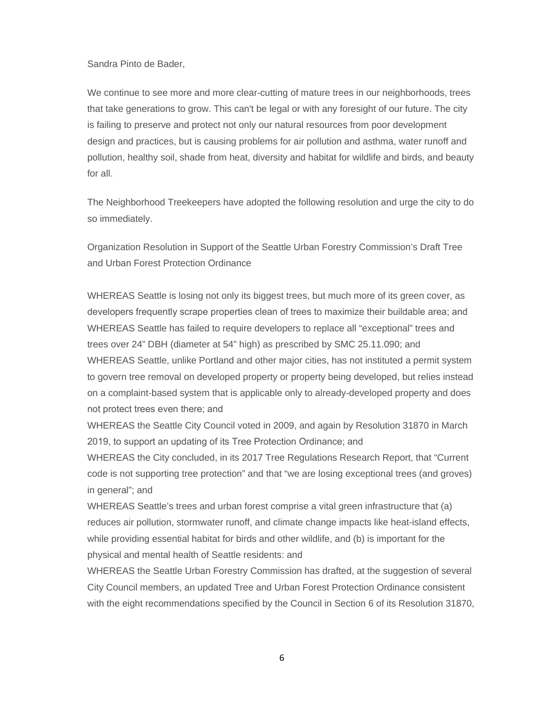Sandra Pinto de Bader,

We continue to see more and more clear-cutting of mature trees in our neighborhoods, trees that take generations to grow. This can't be legal or with any foresight of our future. The city is failing to preserve and protect not only our natural resources from poor development design and practices, but is causing problems for air pollution and asthma, water runoff and pollution, healthy soil, shade from heat, diversity and habitat for wildlife and birds, and beauty for all.

The Neighborhood Treekeepers have adopted the following resolution and urge the city to do so immediately.

Organization Resolution in Support of the Seattle Urban Forestry Commission's Draft Tree and Urban Forest Protection Ordinance

WHEREAS Seattle is losing not only its biggest trees, but much more of its green cover, as developers frequently scrape properties clean of trees to maximize their buildable area; and  WHEREAS Seattle has failed to require developers to replace all "exceptional" trees and trees over 24" DBH (diameter at 54" high) as prescribed by SMC 25.11.090; and WHEREAS Seattle, unlike Portland and other major cities, has not instituted a permit system to govern tree removal on developed property or property being developed, but relies instead on a complaint-based system that is applicable only to already-developed property and does not protect trees even there; and 

WHEREAS the Seattle City Council voted in 2009, and again by Resolution 31870 in March 2019, to support an updating of its Tree Protection Ordinance; and 

WHEREAS the City concluded, in its 2017 Tree Regulations Research Report, that "Current code is not supporting tree protection" and that "we are losing exceptional trees (and groves) in general"; and

WHEREAS Seattle's trees and urban forest comprise a vital green infrastructure that (a) reduces air pollution, stormwater runoff, and climate change impacts like heat-island effects, while providing essential habitat for birds and other wildlife, and (b) is important for the physical and mental health of Seattle residents: and

WHEREAS the Seattle Urban Forestry Commission has drafted, at the suggestion of several City Council members, an updated Tree and Urban Forest Protection Ordinance consistent with the eight recommendations specified by the Council in Section 6 of its Resolution 31870,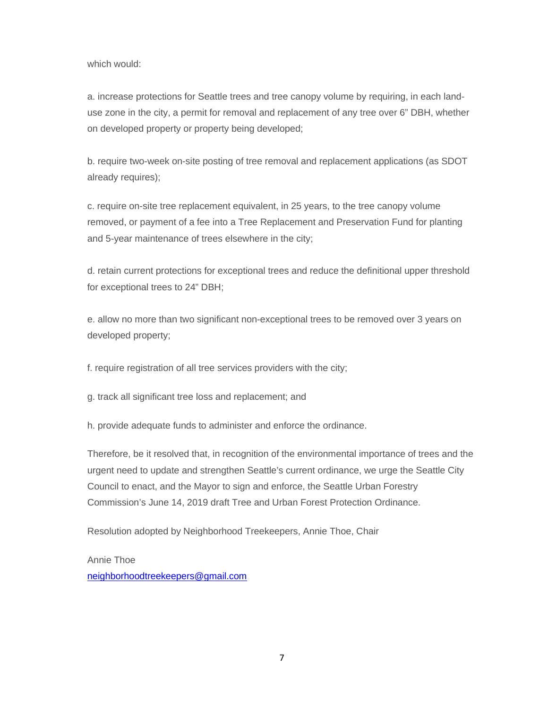which would:

a. increase protections for Seattle trees and tree canopy volume by requiring, in each landuse zone in the city, a permit for removal and replacement of any tree over 6" DBH, whether on developed property or property being developed;

b. require two-week on-site posting of tree removal and replacement applications (as SDOT already requires);

c. require on-site tree replacement equivalent, in 25 years, to the tree canopy volume removed, or payment of a fee into a Tree Replacement and Preservation Fund for planting and 5-year maintenance of trees elsewhere in the city;

d. retain current protections for exceptional trees and reduce the definitional upper threshold for exceptional trees to 24" DBH;

e. allow no more than two significant non-exceptional trees to be removed over 3 years on developed property;

f. require registration of all tree services providers with the city;

g. track all significant tree loss and replacement; and

h. provide adequate funds to administer and enforce the ordinance.

Therefore, be it resolved that, in recognition of the environmental importance of trees and the urgent need to update and strengthen Seattle's current ordinance, we urge the Seattle City Council to enact, and the Mayor to sign and enforce, the Seattle Urban Forestry Commission's June 14, 2019 draft Tree and Urban Forest Protection Ordinance.

Resolution adopted by Neighborhood Treekeepers, Annie Thoe, Chair

Annie Thoe [neighborhoodtreekeepers@gmail.com](mailto:neighborhoodtreekeepers@gmail.com)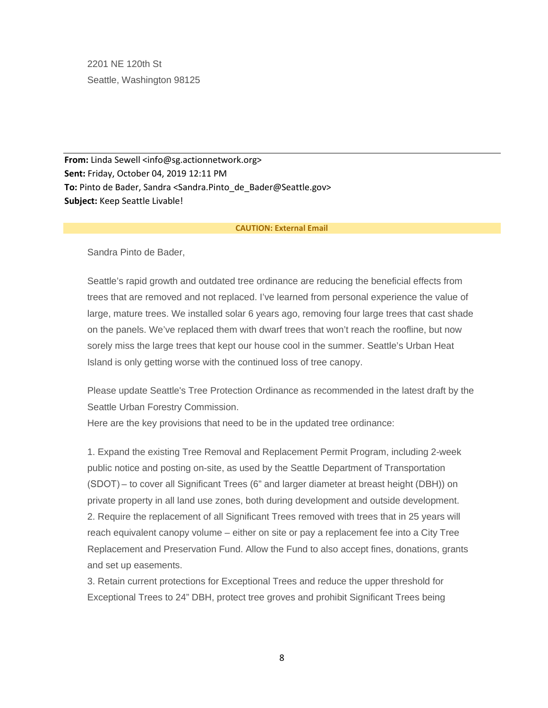2201 NE 120th St Seattle, Washington 98125

**From:** Linda Sewell <info@sg.actionnetwork.org> **Sent:** Friday, October 04, 2019 12:11 PM **To:** Pinto de Bader, Sandra <Sandra.Pinto\_de\_Bader@Seattle.gov> **Subject:** Keep Seattle Livable!

#### **CAUTION: External Email**

Sandra Pinto de Bader,

Seattle's rapid growth and outdated tree ordinance are reducing the beneficial effects from trees that are removed and not replaced. I've learned from personal experience the value of large, mature trees. We installed solar 6 years ago, removing four large trees that cast shade on the panels. We've replaced them with dwarf trees that won't reach the roofline, but now sorely miss the large trees that kept our house cool in the summer. Seattle's Urban Heat Island is only getting worse with the continued loss of tree canopy.

Please update Seattle's Tree Protection Ordinance as recommended in the latest draft by the Seattle Urban Forestry Commission.

Here are the key provisions that need to be in the updated tree ordinance:

1. Expand the existing Tree Removal and Replacement Permit Program, including 2-week public notice and posting on-site, as used by the Seattle Department of Transportation (SDOT) – to cover all Significant Trees (6" and larger diameter at breast height (DBH)) on private property in all land use zones, both during development and outside development. 2. Require the replacement of all Significant Trees removed with trees that in 25 years will reach equivalent canopy volume – either on site or pay a replacement fee into a City Tree Replacement and Preservation Fund. Allow the Fund to also accept fines, donations, grants and set up easements.

3. Retain current protections for Exceptional Trees and reduce the upper threshold for Exceptional Trees to 24" DBH, protect tree groves and prohibit Significant Trees being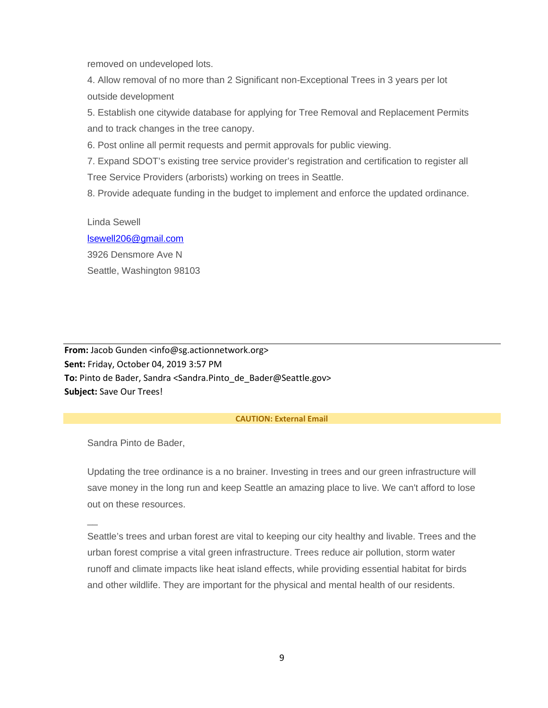removed on undeveloped lots.

4. Allow removal of no more than 2 Significant non-Exceptional Trees in 3 years per lot outside development

5. Establish one citywide database for applying for Tree Removal and Replacement Permits and to track changes in the tree canopy.

6. Post online all permit requests and permit approvals for public viewing.

7. Expand SDOT's existing tree service provider's registration and certification to register all Tree Service Providers (arborists) working on trees in Seattle.

8. Provide adequate funding in the budget to implement and enforce the updated ordinance.

Linda Sewell [lsewell206@gmail.com](mailto:lsewell206@gmail.com) 3926 Densmore Ave N Seattle, Washington 98103

**From:** Jacob Gunden <info@sg.actionnetwork.org> **Sent:** Friday, October 04, 2019 3:57 PM To: Pinto de Bader, Sandra <Sandra.Pinto de Bader@Seattle.gov> **Subject:** Save Our Trees!

## **CAUTION: External Email**

Sandra Pinto de Bader,

 $\overline{\phantom{a}}$ 

Updating the tree ordinance is a no brainer. Investing in trees and our green infrastructure will save money in the long run and keep Seattle an amazing place to live. We can't afford to lose out on these resources.

Seattle's trees and urban forest are vital to keeping our city healthy and livable. Trees and the urban forest comprise a vital green infrastructure. Trees reduce air pollution, storm water runoff and climate impacts like heat island effects, while providing essential habitat for birds and other wildlife. They are important for the physical and mental health of our residents.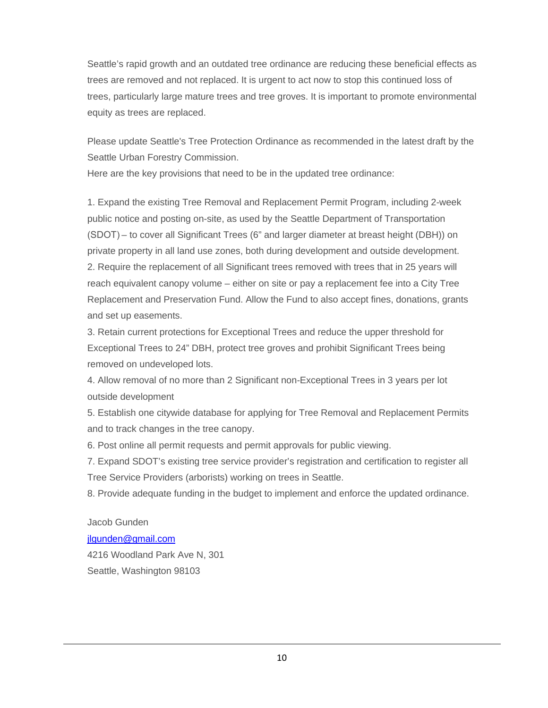Seattle's rapid growth and an outdated tree ordinance are reducing these beneficial effects as trees are removed and not replaced. It is urgent to act now to stop this continued loss of trees, particularly large mature trees and tree groves. It is important to promote environmental equity as trees are replaced.

Please update Seattle's Tree Protection Ordinance as recommended in the latest draft by the Seattle Urban Forestry Commission.

Here are the key provisions that need to be in the updated tree ordinance:

1. Expand the existing Tree Removal and Replacement Permit Program, including 2-week public notice and posting on-site, as used by the Seattle Department of Transportation (SDOT) – to cover all Significant Trees (6" and larger diameter at breast height (DBH)) on private property in all land use zones, both during development and outside development. 2. Require the replacement of all Significant trees removed with trees that in 25 years will reach equivalent canopy volume – either on site or pay a replacement fee into a City Tree Replacement and Preservation Fund. Allow the Fund to also accept fines, donations, grants and set up easements.

3. Retain current protections for Exceptional Trees and reduce the upper threshold for Exceptional Trees to 24" DBH, protect tree groves and prohibit Significant Trees being removed on undeveloped lots.

4. Allow removal of no more than 2 Significant non-Exceptional Trees in 3 years per lot outside development

5. Establish one citywide database for applying for Tree Removal and Replacement Permits and to track changes in the tree canopy.

6. Post online all permit requests and permit approvals for public viewing.

7. Expand SDOT's existing tree service provider's registration and certification to register all Tree Service Providers (arborists) working on trees in Seattle.

8. Provide adequate funding in the budget to implement and enforce the updated ordinance.

Jacob Gunden [jlgunden@gmail.com](mailto:jlgunden@gmail.com) 4216 Woodland Park Ave N, 301 Seattle, Washington 98103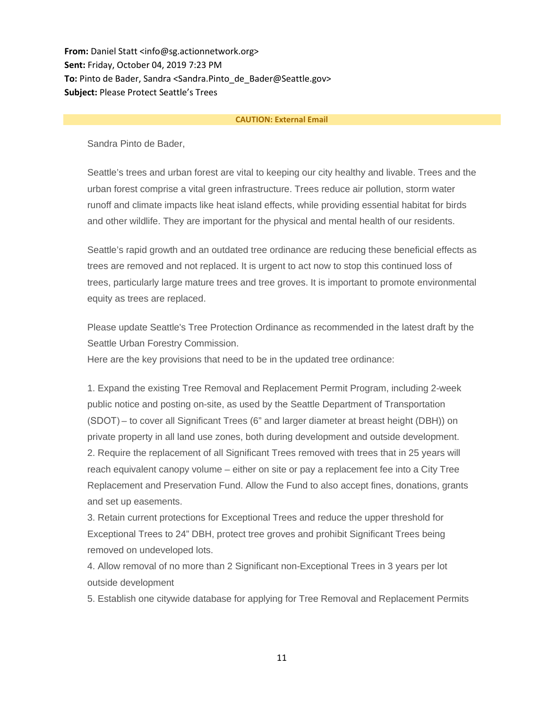**From:** Daniel Statt <info@sg.actionnetwork.org> **Sent:** Friday, October 04, 2019 7:23 PM **To:** Pinto de Bader, Sandra <Sandra.Pinto\_de\_Bader@Seattle.gov> **Subject:** Please Protect Seattle's Trees

#### **CAUTION: External Email**

Sandra Pinto de Bader,

Seattle's trees and urban forest are vital to keeping our city healthy and livable. Trees and the urban forest comprise a vital green infrastructure. Trees reduce air pollution, storm water runoff and climate impacts like heat island effects, while providing essential habitat for birds and other wildlife. They are important for the physical and mental health of our residents.

Seattle's rapid growth and an outdated tree ordinance are reducing these beneficial effects as trees are removed and not replaced. It is urgent to act now to stop this continued loss of trees, particularly large mature trees and tree groves. It is important to promote environmental equity as trees are replaced.

Please update Seattle's Tree Protection Ordinance as recommended in the latest draft by the Seattle Urban Forestry Commission.

Here are the key provisions that need to be in the updated tree ordinance:

1. Expand the existing Tree Removal and Replacement Permit Program, including 2-week public notice and posting on-site, as used by the Seattle Department of Transportation (SDOT) – to cover all Significant Trees (6" and larger diameter at breast height (DBH)) on private property in all land use zones, both during development and outside development. 2. Require the replacement of all Significant Trees removed with trees that in 25 years will reach equivalent canopy volume – either on site or pay a replacement fee into a City Tree Replacement and Preservation Fund. Allow the Fund to also accept fines, donations, grants and set up easements.

3. Retain current protections for Exceptional Trees and reduce the upper threshold for Exceptional Trees to 24" DBH, protect tree groves and prohibit Significant Trees being removed on undeveloped lots.

4. Allow removal of no more than 2 Significant non-Exceptional Trees in 3 years per lot outside development

5. Establish one citywide database for applying for Tree Removal and Replacement Permits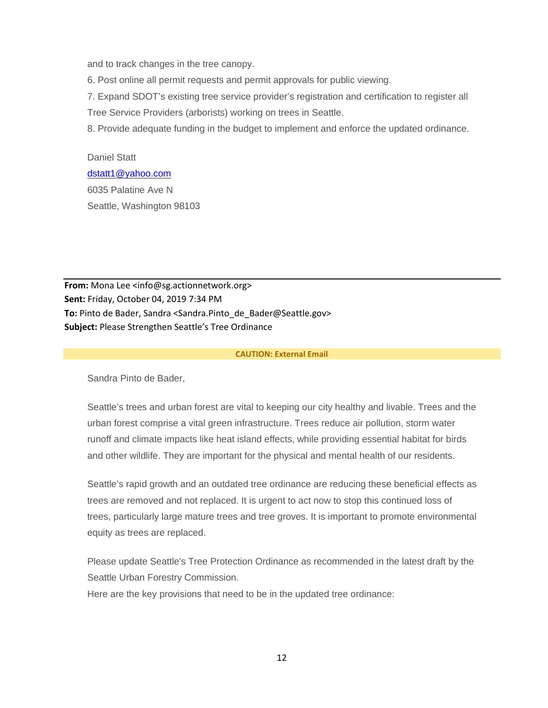and to track changes in the tree canopy.

6. Post online all permit requests and permit approvals for public viewing.

7. Expand SDOT's existing tree service provider's registration and certification to register all

Tree Service Providers (arborists) working on trees in Seattle.

8. Provide adequate funding in the budget to implement and enforce the updated ordinance.

Daniel Statt [dstatt1@yahoo.com](mailto:dstatt1@yahoo.com) 6035 Palatine Ave N Seattle, Washington 98103

**From:** Mona Lee <info@sg.actionnetwork.org> **Sent:** Friday, October 04, 2019 7:34 PM **To:** Pinto de Bader, Sandra <Sandra.Pinto\_de\_Bader@Seattle.gov> **Subject:** Please Strengthen Seattle's Tree Ordinance

#### **CAUTION: External Email**

Sandra Pinto de Bader,

Seattle's trees and urban forest are vital to keeping our city healthy and livable. Trees and the urban forest comprise a vital green infrastructure. Trees reduce air pollution, storm water runoff and climate impacts like heat island effects, while providing essential habitat for birds and other wildlife. They are important for the physical and mental health of our residents.

Seattle's rapid growth and an outdated tree ordinance are reducing these beneficial effects as trees are removed and not replaced. It is urgent to act now to stop this continued loss of trees, particularly large mature trees and tree groves. It is important to promote environmental equity as trees are replaced.

Please update Seattle's Tree Protection Ordinance as recommended in the latest draft by the Seattle Urban Forestry Commission.

Here are the key provisions that need to be in the updated tree ordinance: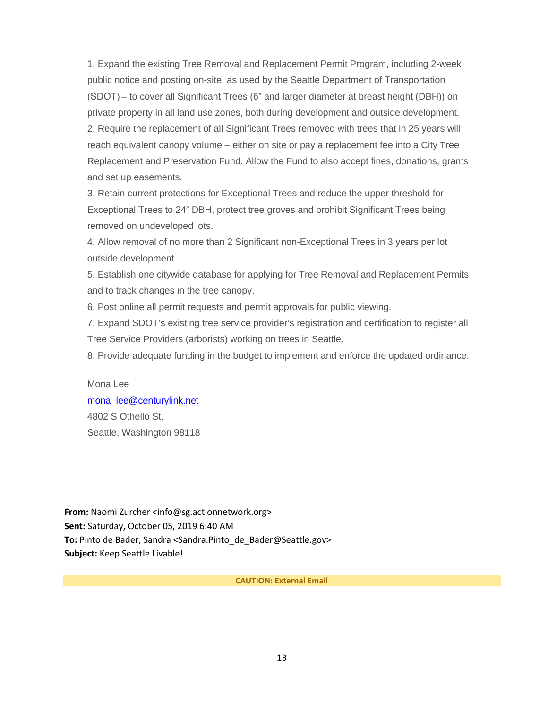1. Expand the existing Tree Removal and Replacement Permit Program, including 2-week public notice and posting on-site, as used by the Seattle Department of Transportation (SDOT) – to cover all Significant Trees (6" and larger diameter at breast height (DBH)) on private property in all land use zones, both during development and outside development. 2. Require the replacement of all Significant Trees removed with trees that in 25 years will reach equivalent canopy volume – either on site or pay a replacement fee into a City Tree Replacement and Preservation Fund. Allow the Fund to also accept fines, donations, grants and set up easements.

3. Retain current protections for Exceptional Trees and reduce the upper threshold for Exceptional Trees to 24" DBH, protect tree groves and prohibit Significant Trees being removed on undeveloped lots.

4. Allow removal of no more than 2 Significant non-Exceptional Trees in 3 years per lot outside development

5. Establish one citywide database for applying for Tree Removal and Replacement Permits and to track changes in the tree canopy.

6. Post online all permit requests and permit approvals for public viewing.

7. Expand SDOT's existing tree service provider's registration and certification to register all Tree Service Providers (arborists) working on trees in Seattle.

8. Provide adequate funding in the budget to implement and enforce the updated ordinance.

Mona Lee [mona\\_lee@centurylink.net](mailto:mona_lee@centurylink.net) 4802 S Othello St. Seattle, Washington 98118

**From:** Naomi Zurcher <info@sg.actionnetwork.org> **Sent:** Saturday, October 05, 2019 6:40 AM **To:** Pinto de Bader, Sandra <Sandra.Pinto\_de\_Bader@Seattle.gov> **Subject:** Keep Seattle Livable!

**CAUTION: External Email**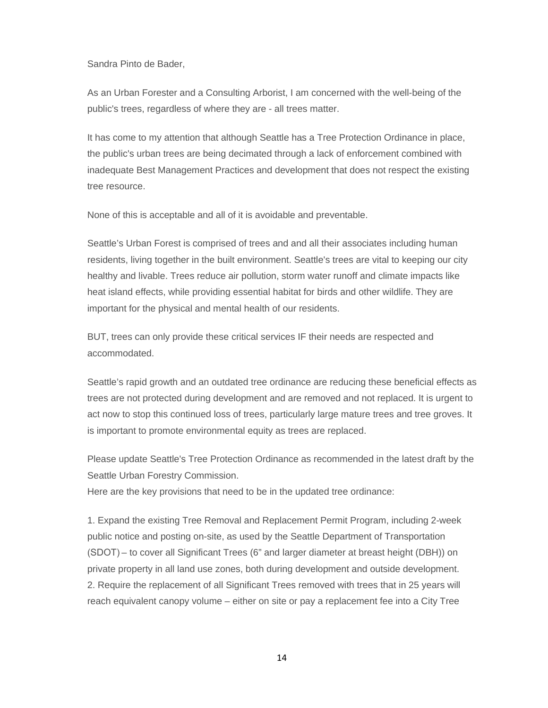Sandra Pinto de Bader,

As an Urban Forester and a Consulting Arborist, I am concerned with the well-being of the public's trees, regardless of where they are - all trees matter.

It has come to my attention that although Seattle has a Tree Protection Ordinance in place, the public's urban trees are being decimated through a lack of enforcement combined with inadequate Best Management Practices and development that does not respect the existing tree resource.

None of this is acceptable and all of it is avoidable and preventable.

Seattle's Urban Forest is comprised of trees and and all their associates including human residents, living together in the built environment. Seattle's trees are vital to keeping our city healthy and livable. Trees reduce air pollution, storm water runoff and climate impacts like heat island effects, while providing essential habitat for birds and other wildlife. They are important for the physical and mental health of our residents.

BUT, trees can only provide these critical services IF their needs are respected and accommodated.

Seattle's rapid growth and an outdated tree ordinance are reducing these beneficial effects as trees are not protected during development and are removed and not replaced. It is urgent to act now to stop this continued loss of trees, particularly large mature trees and tree groves. It is important to promote environmental equity as trees are replaced.

Please update Seattle's Tree Protection Ordinance as recommended in the latest draft by the Seattle Urban Forestry Commission.

Here are the key provisions that need to be in the updated tree ordinance:

1. Expand the existing Tree Removal and Replacement Permit Program, including 2-week public notice and posting on-site, as used by the Seattle Department of Transportation (SDOT) – to cover all Significant Trees (6" and larger diameter at breast height (DBH)) on private property in all land use zones, both during development and outside development. 2. Require the replacement of all Significant Trees removed with trees that in 25 years will reach equivalent canopy volume – either on site or pay a replacement fee into a City Tree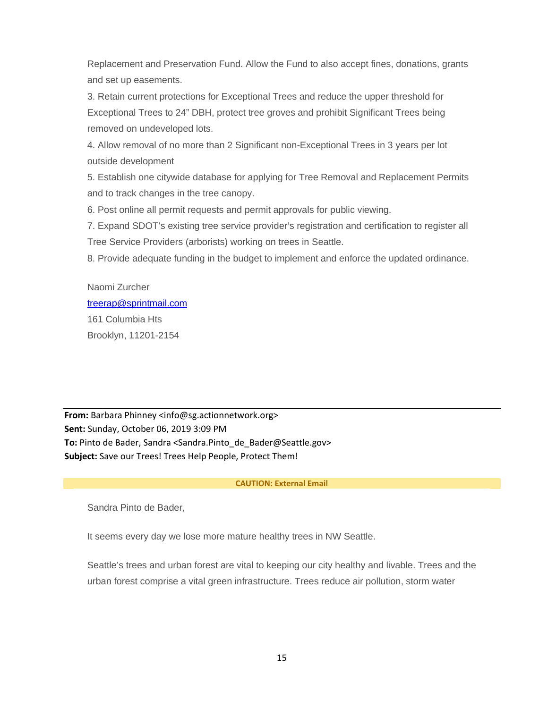Replacement and Preservation Fund. Allow the Fund to also accept fines, donations, grants and set up easements.

3. Retain current protections for Exceptional Trees and reduce the upper threshold for Exceptional Trees to 24" DBH, protect tree groves and prohibit Significant Trees being removed on undeveloped lots.

4. Allow removal of no more than 2 Significant non-Exceptional Trees in 3 years per lot outside development

5. Establish one citywide database for applying for Tree Removal and Replacement Permits and to track changes in the tree canopy.

6. Post online all permit requests and permit approvals for public viewing.

7. Expand SDOT's existing tree service provider's registration and certification to register all Tree Service Providers (arborists) working on trees in Seattle.

8. Provide adequate funding in the budget to implement and enforce the updated ordinance.

# Naomi Zurcher [treerap@sprintmail.com](mailto:treerap@sprintmail.com) 161 Columbia Hts Brooklyn, 11201-2154

**From:** Barbara Phinney <info@sg.actionnetwork.org> **Sent:** Sunday, October 06, 2019 3:09 PM **To:** Pinto de Bader, Sandra <Sandra.Pinto\_de\_Bader@Seattle.gov> **Subject:** Save our Trees! Trees Help People, Protect Them!

## **CAUTION: External Email**

Sandra Pinto de Bader,

It seems every day we lose more mature healthy trees in NW Seattle.

Seattle's trees and urban forest are vital to keeping our city healthy and livable. Trees and the urban forest comprise a vital green infrastructure. Trees reduce air pollution, storm water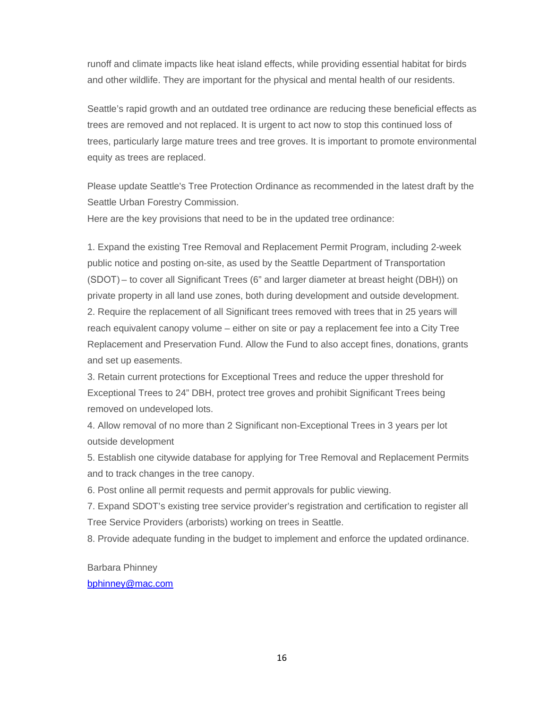runoff and climate impacts like heat island effects, while providing essential habitat for birds and other wildlife. They are important for the physical and mental health of our residents.

Seattle's rapid growth and an outdated tree ordinance are reducing these beneficial effects as trees are removed and not replaced. It is urgent to act now to stop this continued loss of trees, particularly large mature trees and tree groves. It is important to promote environmental equity as trees are replaced.

Please update Seattle's Tree Protection Ordinance as recommended in the latest draft by the Seattle Urban Forestry Commission.

Here are the key provisions that need to be in the updated tree ordinance:

1. Expand the existing Tree Removal and Replacement Permit Program, including 2-week public notice and posting on-site, as used by the Seattle Department of Transportation (SDOT) – to cover all Significant Trees (6" and larger diameter at breast height (DBH)) on private property in all land use zones, both during development and outside development. 2. Require the replacement of all Significant trees removed with trees that in 25 years will reach equivalent canopy volume – either on site or pay a replacement fee into a City Tree Replacement and Preservation Fund. Allow the Fund to also accept fines, donations, grants and set up easements.

3. Retain current protections for Exceptional Trees and reduce the upper threshold for Exceptional Trees to 24" DBH, protect tree groves and prohibit Significant Trees being removed on undeveloped lots.

4. Allow removal of no more than 2 Significant non-Exceptional Trees in 3 years per lot outside development

5. Establish one citywide database for applying for Tree Removal and Replacement Permits and to track changes in the tree canopy.

6. Post online all permit requests and permit approvals for public viewing.

7. Expand SDOT's existing tree service provider's registration and certification to register all Tree Service Providers (arborists) working on trees in Seattle.

8. Provide adequate funding in the budget to implement and enforce the updated ordinance.

Barbara Phinney

## [bphinney@mac.com](mailto:bphinney@mac.com)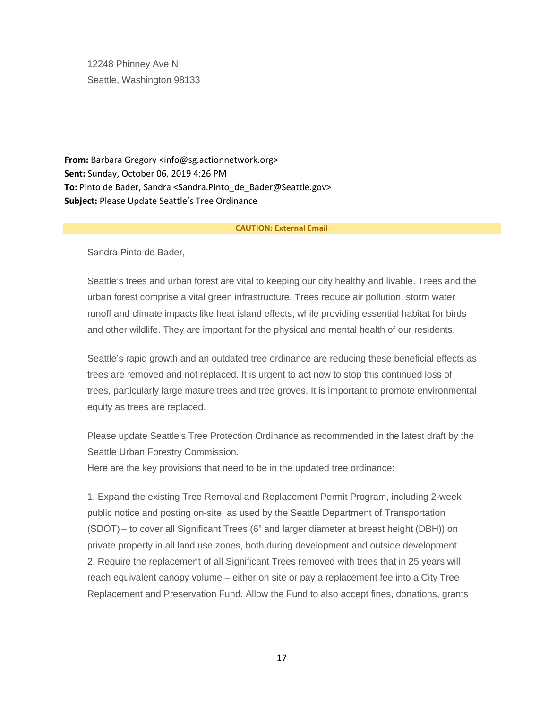12248 Phinney Ave N Seattle, Washington 98133

**From:** Barbara Gregory <info@sg.actionnetwork.org> **Sent:** Sunday, October 06, 2019 4:26 PM To: Pinto de Bader, Sandra <Sandra.Pinto de Bader@Seattle.gov> **Subject:** Please Update Seattle's Tree Ordinance

#### **CAUTION: External Email**

Sandra Pinto de Bader,

Seattle's trees and urban forest are vital to keeping our city healthy and livable. Trees and the urban forest comprise a vital green infrastructure. Trees reduce air pollution, storm water runoff and climate impacts like heat island effects, while providing essential habitat for birds and other wildlife. They are important for the physical and mental health of our residents.

Seattle's rapid growth and an outdated tree ordinance are reducing these beneficial effects as trees are removed and not replaced. It is urgent to act now to stop this continued loss of trees, particularly large mature trees and tree groves. It is important to promote environmental equity as trees are replaced.

Please update Seattle's Tree Protection Ordinance as recommended in the latest draft by the Seattle Urban Forestry Commission.

Here are the key provisions that need to be in the updated tree ordinance:

1. Expand the existing Tree Removal and Replacement Permit Program, including 2-week public notice and posting on-site, as used by the Seattle Department of Transportation (SDOT) – to cover all Significant Trees (6" and larger diameter at breast height (DBH)) on private property in all land use zones, both during development and outside development. 2. Require the replacement of all Significant Trees removed with trees that in 25 years will reach equivalent canopy volume – either on site or pay a replacement fee into a City Tree Replacement and Preservation Fund. Allow the Fund to also accept fines, donations, grants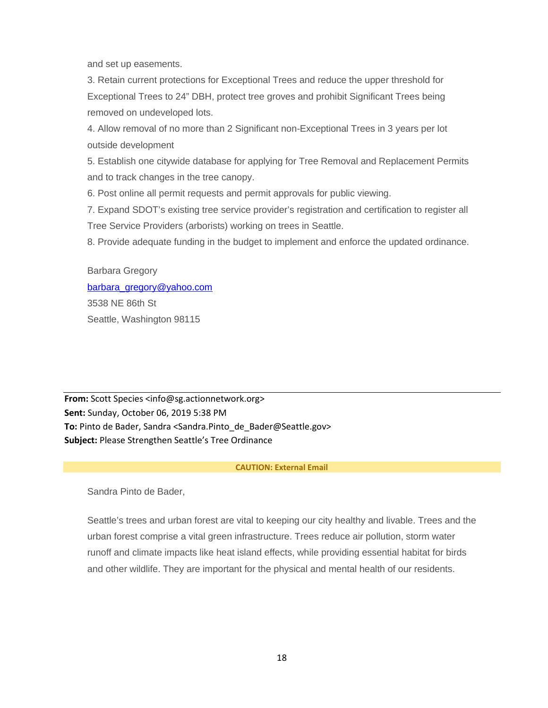and set up easements.

3. Retain current protections for Exceptional Trees and reduce the upper threshold for Exceptional Trees to 24" DBH, protect tree groves and prohibit Significant Trees being removed on undeveloped lots.

4. Allow removal of no more than 2 Significant non-Exceptional Trees in 3 years per lot outside development

5. Establish one citywide database for applying for Tree Removal and Replacement Permits and to track changes in the tree canopy.

6. Post online all permit requests and permit approvals for public viewing.

7. Expand SDOT's existing tree service provider's registration and certification to register all Tree Service Providers (arborists) working on trees in Seattle.

8. Provide adequate funding in the budget to implement and enforce the updated ordinance.

Barbara Gregory barbara gregory@yahoo.com 3538 NE 86th St Seattle, Washington 98115

**From:** Scott Species <info@sg.actionnetwork.org> **Sent:** Sunday, October 06, 2019 5:38 PM **To:** Pinto de Bader, Sandra <Sandra.Pinto\_de\_Bader@Seattle.gov> **Subject:** Please Strengthen Seattle's Tree Ordinance

## **CAUTION: External Email**

Sandra Pinto de Bader,

Seattle's trees and urban forest are vital to keeping our city healthy and livable. Trees and the urban forest comprise a vital green infrastructure. Trees reduce air pollution, storm water runoff and climate impacts like heat island effects, while providing essential habitat for birds and other wildlife. They are important for the physical and mental health of our residents.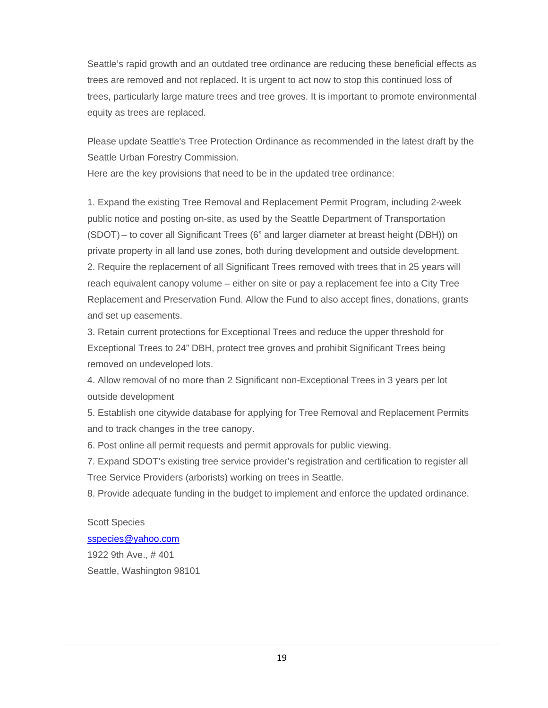Seattle's rapid growth and an outdated tree ordinance are reducing these beneficial effects as trees are removed and not replaced. It is urgent to act now to stop this continued loss of trees, particularly large mature trees and tree groves. It is important to promote environmental equity as trees are replaced.

Please update Seattle's Tree Protection Ordinance as recommended in the latest draft by the Seattle Urban Forestry Commission.

Here are the key provisions that need to be in the updated tree ordinance:

1. Expand the existing Tree Removal and Replacement Permit Program, including 2-week public notice and posting on-site, as used by the Seattle Department of Transportation (SDOT) – to cover all Significant Trees (6" and larger diameter at breast height (DBH)) on private property in all land use zones, both during development and outside development. 2. Require the replacement of all Significant Trees removed with trees that in 25 years will reach equivalent canopy volume – either on site or pay a replacement fee into a City Tree Replacement and Preservation Fund. Allow the Fund to also accept fines, donations, grants and set up easements.

3. Retain current protections for Exceptional Trees and reduce the upper threshold for Exceptional Trees to 24" DBH, protect tree groves and prohibit Significant Trees being removed on undeveloped lots.

4. Allow removal of no more than 2 Significant non-Exceptional Trees in 3 years per lot outside development

5. Establish one citywide database for applying for Tree Removal and Replacement Permits and to track changes in the tree canopy.

6. Post online all permit requests and permit approvals for public viewing.

7. Expand SDOT's existing tree service provider's registration and certification to register all Tree Service Providers (arborists) working on trees in Seattle.

8. Provide adequate funding in the budget to implement and enforce the updated ordinance.

Scott Species [sspecies@yahoo.com](mailto:sspecies@yahoo.com) 1922 9th Ave., # 401 Seattle, Washington 98101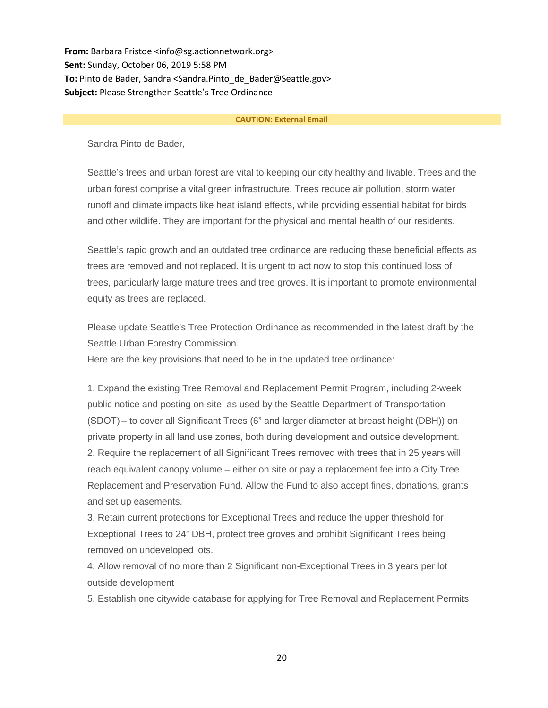**From:** Barbara Fristoe <info@sg.actionnetwork.org> **Sent:** Sunday, October 06, 2019 5:58 PM **To:** Pinto de Bader, Sandra <Sandra.Pinto\_de\_Bader@Seattle.gov> **Subject:** Please Strengthen Seattle's Tree Ordinance

#### **CAUTION: External Email**

Sandra Pinto de Bader,

Seattle's trees and urban forest are vital to keeping our city healthy and livable. Trees and the urban forest comprise a vital green infrastructure. Trees reduce air pollution, storm water runoff and climate impacts like heat island effects, while providing essential habitat for birds and other wildlife. They are important for the physical and mental health of our residents.

Seattle's rapid growth and an outdated tree ordinance are reducing these beneficial effects as trees are removed and not replaced. It is urgent to act now to stop this continued loss of trees, particularly large mature trees and tree groves. It is important to promote environmental equity as trees are replaced.

Please update Seattle's Tree Protection Ordinance as recommended in the latest draft by the Seattle Urban Forestry Commission.

Here are the key provisions that need to be in the updated tree ordinance:

1. Expand the existing Tree Removal and Replacement Permit Program, including 2-week public notice and posting on-site, as used by the Seattle Department of Transportation (SDOT) – to cover all Significant Trees (6" and larger diameter at breast height (DBH)) on private property in all land use zones, both during development and outside development. 2. Require the replacement of all Significant Trees removed with trees that in 25 years will reach equivalent canopy volume – either on site or pay a replacement fee into a City Tree Replacement and Preservation Fund. Allow the Fund to also accept fines, donations, grants and set up easements.

3. Retain current protections for Exceptional Trees and reduce the upper threshold for Exceptional Trees to 24" DBH, protect tree groves and prohibit Significant Trees being removed on undeveloped lots.

4. Allow removal of no more than 2 Significant non-Exceptional Trees in 3 years per lot outside development

5. Establish one citywide database for applying for Tree Removal and Replacement Permits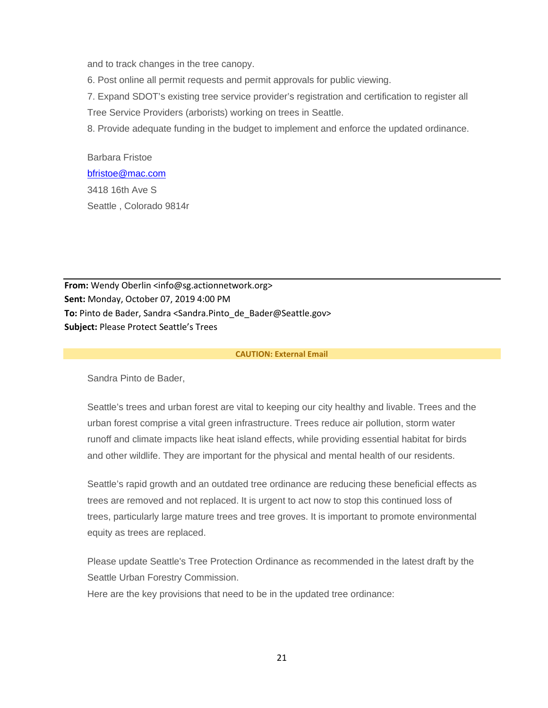and to track changes in the tree canopy.

6. Post online all permit requests and permit approvals for public viewing.

7. Expand SDOT's existing tree service provider's registration and certification to register all

Tree Service Providers (arborists) working on trees in Seattle.

8. Provide adequate funding in the budget to implement and enforce the updated ordinance.

Barbara Fristoe [bfristoe@mac.com](mailto:bfristoe@mac.com) 3418 16th Ave S Seattle , Colorado 9814r

**From:** Wendy Oberlin <info@sg.actionnetwork.org> **Sent:** Monday, October 07, 2019 4:00 PM **To:** Pinto de Bader, Sandra <Sandra.Pinto\_de\_Bader@Seattle.gov> **Subject:** Please Protect Seattle's Trees

#### **CAUTION: External Email**

Sandra Pinto de Bader,

Seattle's trees and urban forest are vital to keeping our city healthy and livable. Trees and the urban forest comprise a vital green infrastructure. Trees reduce air pollution, storm water runoff and climate impacts like heat island effects, while providing essential habitat for birds and other wildlife. They are important for the physical and mental health of our residents.

Seattle's rapid growth and an outdated tree ordinance are reducing these beneficial effects as trees are removed and not replaced. It is urgent to act now to stop this continued loss of trees, particularly large mature trees and tree groves. It is important to promote environmental equity as trees are replaced.

Please update Seattle's Tree Protection Ordinance as recommended in the latest draft by the Seattle Urban Forestry Commission.

Here are the key provisions that need to be in the updated tree ordinance: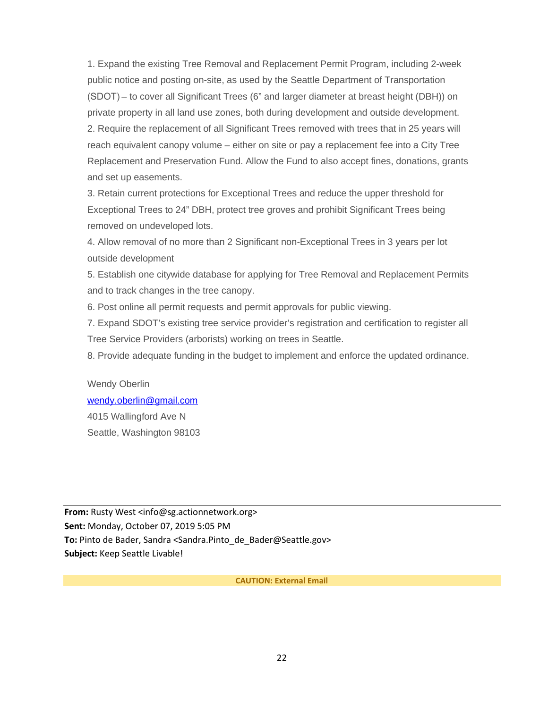1. Expand the existing Tree Removal and Replacement Permit Program, including 2-week public notice and posting on-site, as used by the Seattle Department of Transportation (SDOT) – to cover all Significant Trees (6" and larger diameter at breast height (DBH)) on private property in all land use zones, both during development and outside development. 2. Require the replacement of all Significant Trees removed with trees that in 25 years will reach equivalent canopy volume – either on site or pay a replacement fee into a City Tree Replacement and Preservation Fund. Allow the Fund to also accept fines, donations, grants and set up easements.

3. Retain current protections for Exceptional Trees and reduce the upper threshold for Exceptional Trees to 24" DBH, protect tree groves and prohibit Significant Trees being removed on undeveloped lots.

4. Allow removal of no more than 2 Significant non-Exceptional Trees in 3 years per lot outside development

5. Establish one citywide database for applying for Tree Removal and Replacement Permits and to track changes in the tree canopy.

6. Post online all permit requests and permit approvals for public viewing.

7. Expand SDOT's existing tree service provider's registration and certification to register all Tree Service Providers (arborists) working on trees in Seattle.

8. Provide adequate funding in the budget to implement and enforce the updated ordinance.

Wendy Oberlin [wendy.oberlin@gmail.com](mailto:wendy.oberlin@gmail.com) 4015 Wallingford Ave N Seattle, Washington 98103

**From:** Rusty West <info@sg.actionnetwork.org> **Sent:** Monday, October 07, 2019 5:05 PM **To:** Pinto de Bader, Sandra <Sandra.Pinto\_de\_Bader@Seattle.gov> **Subject:** Keep Seattle Livable!

**CAUTION: External Email**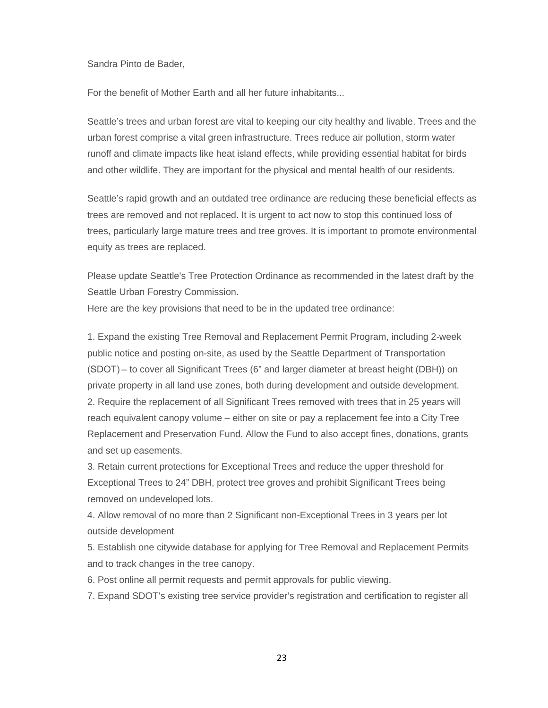Sandra Pinto de Bader,

For the benefit of Mother Earth and all her future inhabitants...

Seattle's trees and urban forest are vital to keeping our city healthy and livable. Trees and the urban forest comprise a vital green infrastructure. Trees reduce air pollution, storm water runoff and climate impacts like heat island effects, while providing essential habitat for birds and other wildlife. They are important for the physical and mental health of our residents.

Seattle's rapid growth and an outdated tree ordinance are reducing these beneficial effects as trees are removed and not replaced. It is urgent to act now to stop this continued loss of trees, particularly large mature trees and tree groves. It is important to promote environmental equity as trees are replaced.

Please update Seattle's Tree Protection Ordinance as recommended in the latest draft by the Seattle Urban Forestry Commission.

Here are the key provisions that need to be in the updated tree ordinance:

1. Expand the existing Tree Removal and Replacement Permit Program, including 2-week public notice and posting on-site, as used by the Seattle Department of Transportation (SDOT) – to cover all Significant Trees (6" and larger diameter at breast height (DBH)) on private property in all land use zones, both during development and outside development. 2. Require the replacement of all Significant Trees removed with trees that in 25 years will reach equivalent canopy volume – either on site or pay a replacement fee into a City Tree Replacement and Preservation Fund. Allow the Fund to also accept fines, donations, grants and set up easements.

3. Retain current protections for Exceptional Trees and reduce the upper threshold for Exceptional Trees to 24" DBH, protect tree groves and prohibit Significant Trees being removed on undeveloped lots.

4. Allow removal of no more than 2 Significant non-Exceptional Trees in 3 years per lot outside development

5. Establish one citywide database for applying for Tree Removal and Replacement Permits and to track changes in the tree canopy.

6. Post online all permit requests and permit approvals for public viewing.

7. Expand SDOT's existing tree service provider's registration and certification to register all

23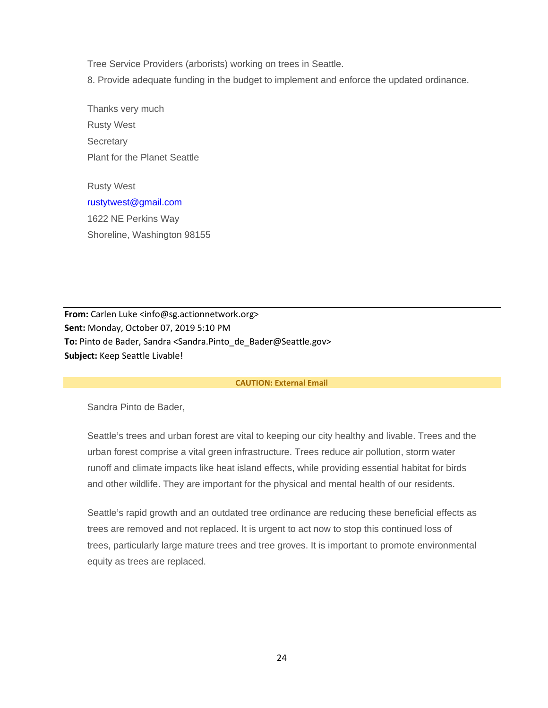Tree Service Providers (arborists) working on trees in Seattle.

8. Provide adequate funding in the budget to implement and enforce the updated ordinance.

Thanks very much Rusty West **Secretary** Plant for the Planet Seattle

Rusty West [rustytwest@gmail.com](mailto:rustytwest@gmail.com) 1622 NE Perkins Way Shoreline, Washington 98155

**From:** Carlen Luke <info@sg.actionnetwork.org> **Sent:** Monday, October 07, 2019 5:10 PM **To:** Pinto de Bader, Sandra <Sandra.Pinto\_de\_Bader@Seattle.gov> **Subject:** Keep Seattle Livable!

#### **CAUTION: External Email**

Sandra Pinto de Bader,

Seattle's trees and urban forest are vital to keeping our city healthy and livable. Trees and the urban forest comprise a vital green infrastructure. Trees reduce air pollution, storm water runoff and climate impacts like heat island effects, while providing essential habitat for birds and other wildlife. They are important for the physical and mental health of our residents.

Seattle's rapid growth and an outdated tree ordinance are reducing these beneficial effects as trees are removed and not replaced. It is urgent to act now to stop this continued loss of trees, particularly large mature trees and tree groves. It is important to promote environmental equity as trees are replaced.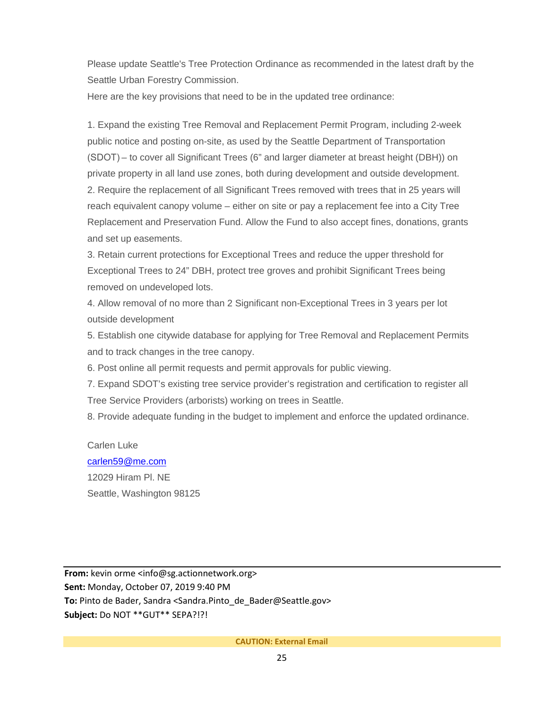Please update Seattle's Tree Protection Ordinance as recommended in the latest draft by the Seattle Urban Forestry Commission.

Here are the key provisions that need to be in the updated tree ordinance:

1. Expand the existing Tree Removal and Replacement Permit Program, including 2-week public notice and posting on-site, as used by the Seattle Department of Transportation (SDOT) – to cover all Significant Trees (6" and larger diameter at breast height (DBH)) on private property in all land use zones, both during development and outside development. 2. Require the replacement of all Significant Trees removed with trees that in 25 years will reach equivalent canopy volume – either on site or pay a replacement fee into a City Tree Replacement and Preservation Fund. Allow the Fund to also accept fines, donations, grants and set up easements.

3. Retain current protections for Exceptional Trees and reduce the upper threshold for Exceptional Trees to 24" DBH, protect tree groves and prohibit Significant Trees being removed on undeveloped lots.

4. Allow removal of no more than 2 Significant non-Exceptional Trees in 3 years per lot outside development

5. Establish one citywide database for applying for Tree Removal and Replacement Permits and to track changes in the tree canopy.

6. Post online all permit requests and permit approvals for public viewing.

7. Expand SDOT's existing tree service provider's registration and certification to register all Tree Service Providers (arborists) working on trees in Seattle.

8. Provide adequate funding in the budget to implement and enforce the updated ordinance.

## Carlen Luke

# [carlen59@me.com](mailto:carlen59@me.com)

12029 Hiram Pl. NE Seattle, Washington 98125

**From:** kevin orme <info@sg.actionnetwork.org> **Sent:** Monday, October 07, 2019 9:40 PM To: Pinto de Bader, Sandra <Sandra.Pinto de Bader@Seattle.gov> **Subject:** Do NOT \*\*GUT\*\* SEPA?!?!

## **CAUTION: External Email**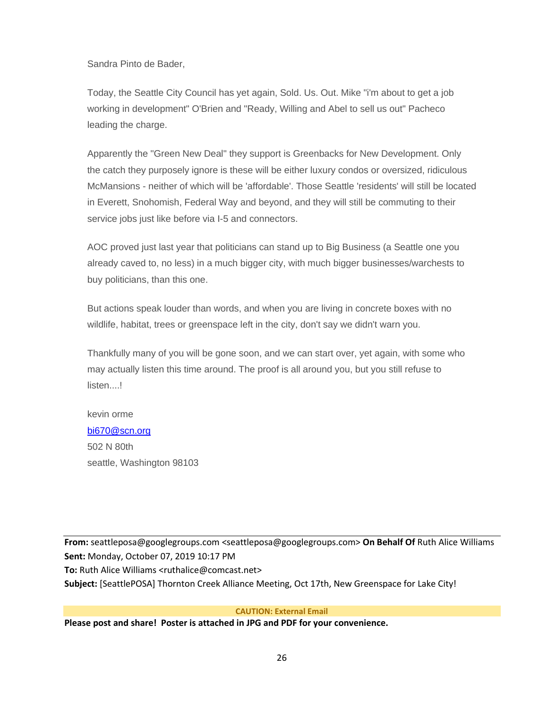Sandra Pinto de Bader,

Today, the Seattle City Council has yet again, Sold. Us. Out. Mike "i'm about to get a job working in development" O'Brien and "Ready, Willing and Abel to sell us out" Pacheco leading the charge.

Apparently the "Green New Deal" they support is Greenbacks for New Development. Only the catch they purposely ignore is these will be either luxury condos or oversized, ridiculous McMansions - neither of which will be 'affordable'. Those Seattle 'residents' will still be located in Everett, Snohomish, Federal Way and beyond, and they will still be commuting to their service jobs just like before via I-5 and connectors.

AOC proved just last year that politicians can stand up to Big Business (a Seattle one you already caved to, no less) in a much bigger city, with much bigger businesses/warchests to buy politicians, than this one.

But actions speak louder than words, and when you are living in concrete boxes with no wildlife, habitat, trees or greenspace left in the city, don't say we didn't warn you.

Thankfully many of you will be gone soon, and we can start over, yet again, with some who may actually listen this time around. The proof is all around you, but you still refuse to listen....!

kevin orme [bi670@scn.org](mailto:bi670@scn.org) 502 N 80th seattle, Washington 98103

**From:** seattleposa@googlegroups.com <seattleposa@googlegroups.com> **On Behalf Of** Ruth Alice Williams **Sent:** Monday, October 07, 2019 10:17 PM **To:** Ruth Alice Williams <ruthalice@comcast.net> **Subject:** [SeattlePOSA] Thornton Creek Alliance Meeting, Oct 17th, New Greenspace for Lake City!

**CAUTION: External Email**

**Please post and share! Poster is attached in JPG and PDF for your convenience.**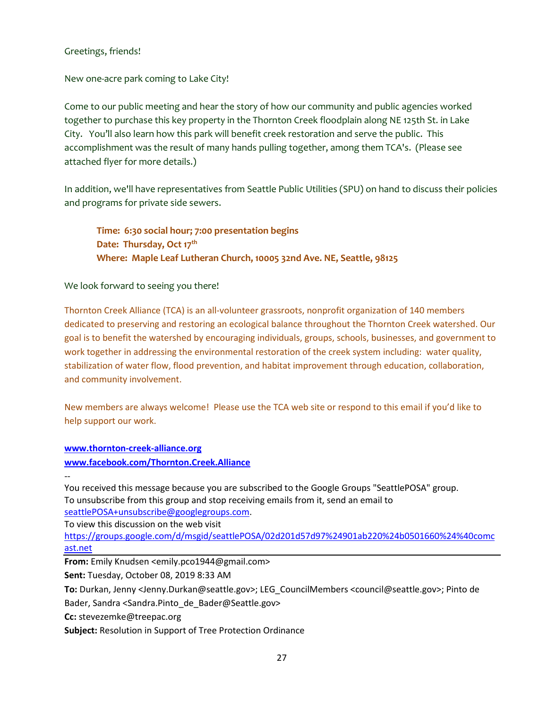## Greetings, friends!

New one-acre park coming to Lake City!

Come to our public meeting and hear the story of how our community and public agencies worked together to purchase this key property in the Thornton Creek floodplain along NE 125th St. in Lake City. You'll also learn how this park will benefit creek restoration and serve the public. This accomplishment was the result of many hands pulling together, among them TCA's. (Please see attached flyer for more details.)

In addition, we'll have representatives from Seattle Public Utilities (SPU) on hand to discuss their policies and programs for private side sewers.

**Time: 6:30 social hour; 7:00 presentation begins Date: Thursday, Oct 17th Where: Maple Leaf Lutheran Church, 10005 32nd Ave. NE, Seattle, 98125**

We look forward to seeing you there!

Thornton Creek Alliance (TCA) is an all-volunteer grassroots, nonprofit organization of 140 members dedicated to preserving and restoring an ecological balance throughout the Thornton Creek watershed. Our goal is to benefit the watershed by encouraging individuals, groups, schools, businesses, and government to work together in addressing the environmental restoration of the creek system including: water quality, stabilization of water flow, flood prevention, and habitat improvement through education, collaboration, and community involvement.

New members are always welcome! Please use the TCA web site or respond to this email if you'd like to help support our work.

**[www.thornton-creek-alliance.org](http://www.thornton-creek-alliance.org/)**

**[www.facebook.com/Thornton.Creek.Alliance](http://www.facebook.com/Thornton.Creek.Alliance)**

--

You received this message because you are subscribed to the Google Groups "SeattlePOSA" group. To unsubscribe from this group and stop receiving emails from it, send an email to [seattlePOSA+unsubscribe@googlegroups.com.](mailto:seattlePOSA+unsubscribe@googlegroups.com)

To view this discussion on the web visit

[https://groups.google.com/d/msgid/seattlePOSA/02d201d57d97%24901ab220%24b0501660%24%40comc](https://groups.google.com/d/msgid/seattlePOSA/02d201d57d97%24901ab220%24b0501660%24%40comcast.net?utm_medium=email&utm_source=footer) [ast.net](https://groups.google.com/d/msgid/seattlePOSA/02d201d57d97%24901ab220%24b0501660%24%40comcast.net?utm_medium=email&utm_source=footer)

**From:** Emily Knudsen <emily.pco1944@gmail.com>

**Sent:** Tuesday, October 08, 2019 8:33 AM

**To:** Durkan, Jenny <Jenny.Durkan@seattle.gov>; LEG\_CouncilMembers <council@seattle.gov>; Pinto de

Bader, Sandra <Sandra.Pinto\_de\_Bader@Seattle.gov>

**Cc:** stevezemke@treepac.org

**Subject:** Resolution in Support of Tree Protection Ordinance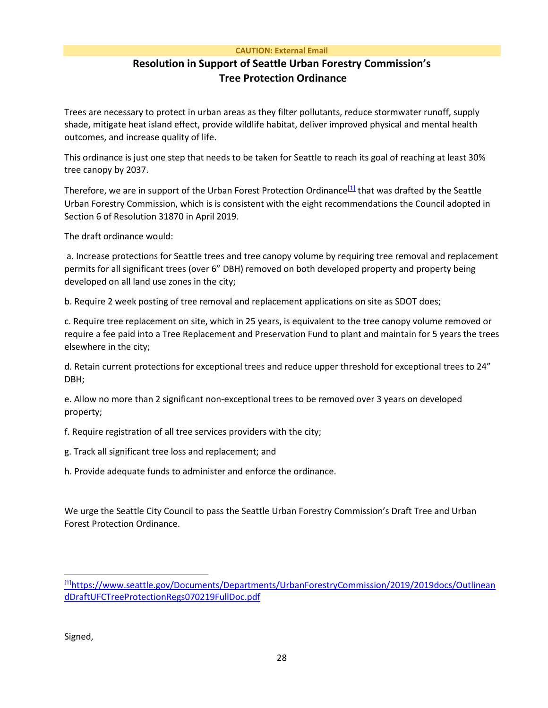#### <span id="page-27-1"></span>**CAUTION: External Email**

# **Resolution in Support of Seattle Urban Forestry Commission's Tree Protection Ordinance**

Trees are necessary to protect in urban areas as they filter pollutants, reduce stormwater runoff, supply shade, mitigate heat island effect, provide wildlife habitat, deliver improved physical and mental health outcomes, and increase quality of life.

This ordinance is just one step that needs to be taken for Seattle to reach its goal of reaching at least 30% tree canopy by 2037.

Therefore, we are in support of the Urban Forest Protection Ordinance<sup>[1]</sup> that was drafted by the Seattle Urban Forestry Commission, which is is consistent with the eight recommendations the Council adopted in Section 6 of Resolution 31870 in April 2019.

The draft ordinance would:

a. Increase protections for Seattle trees and tree canopy volume by requiring tree removal and replacement permits for all significant trees (over 6" DBH) removed on both developed property and property being developed on all land use zones in the city;

b. Require 2 week posting of tree removal and replacement applications on site as SDOT does;

c. Require tree replacement on site, which in 25 years, is equivalent to the tree canopy volume removed or require a fee paid into a Tree Replacement and Preservation Fund to plant and maintain for 5 years the trees elsewhere in the city;

d. Retain current protections for exceptional trees and reduce upper threshold for exceptional trees to 24" DBH;

e. Allow no more than 2 significant non-exceptional trees to be removed over 3 years on developed property;

f. Require registration of all tree services providers with the city;

g. Track all significant tree loss and replacement; and

h. Provide adequate funds to administer and enforce the ordinance.

We urge the Seattle City Council to pass the Seattle Urban Forestry Commission's Draft Tree and Urban Forest Protection Ordinance.

Signed,

<span id="page-27-0"></span>[<sup>\[1\]</sup>](#page-27-1)[https://www.seattle.gov/Documents/Departments/UrbanForestryCommission/2019/2019docs/Outlinean](https://www.seattle.gov/Documents/Departments/UrbanForestryCommission/2019/2019docs/OutlineandDraftUFCTreeProtectionRegs070219FullDoc.pdf) [dDraftUFCTreeProtectionRegs070219FullDoc.pdf](https://www.seattle.gov/Documents/Departments/UrbanForestryCommission/2019/2019docs/OutlineandDraftUFCTreeProtectionRegs070219FullDoc.pdf)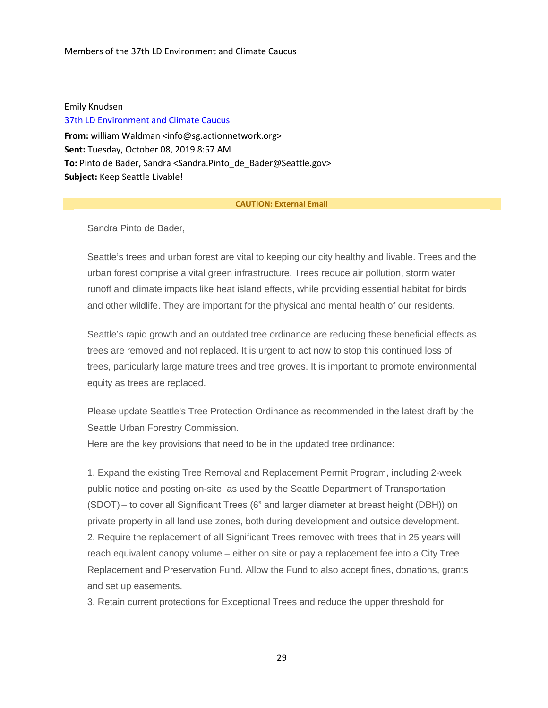-- Emily Knudsen [37th LD Environment and Climate Caucus](https://www.37environmentandclimatecaucus.org/) **From:** william Waldman <info@sg.actionnetwork.org> **Sent:** Tuesday, October 08, 2019 8:57 AM **To:** Pinto de Bader, Sandra <Sandra.Pinto\_de\_Bader@Seattle.gov> **Subject:** Keep Seattle Livable!

#### **CAUTION: External Email**

Sandra Pinto de Bader,

Seattle's trees and urban forest are vital to keeping our city healthy and livable. Trees and the urban forest comprise a vital green infrastructure. Trees reduce air pollution, storm water runoff and climate impacts like heat island effects, while providing essential habitat for birds and other wildlife. They are important for the physical and mental health of our residents.

Seattle's rapid growth and an outdated tree ordinance are reducing these beneficial effects as trees are removed and not replaced. It is urgent to act now to stop this continued loss of trees, particularly large mature trees and tree groves. It is important to promote environmental equity as trees are replaced.

Please update Seattle's Tree Protection Ordinance as recommended in the latest draft by the Seattle Urban Forestry Commission.

Here are the key provisions that need to be in the updated tree ordinance:

1. Expand the existing Tree Removal and Replacement Permit Program, including 2-week public notice and posting on-site, as used by the Seattle Department of Transportation (SDOT) – to cover all Significant Trees (6" and larger diameter at breast height (DBH)) on private property in all land use zones, both during development and outside development. 2. Require the replacement of all Significant Trees removed with trees that in 25 years will reach equivalent canopy volume – either on site or pay a replacement fee into a City Tree Replacement and Preservation Fund. Allow the Fund to also accept fines, donations, grants and set up easements.

3. Retain current protections for Exceptional Trees and reduce the upper threshold for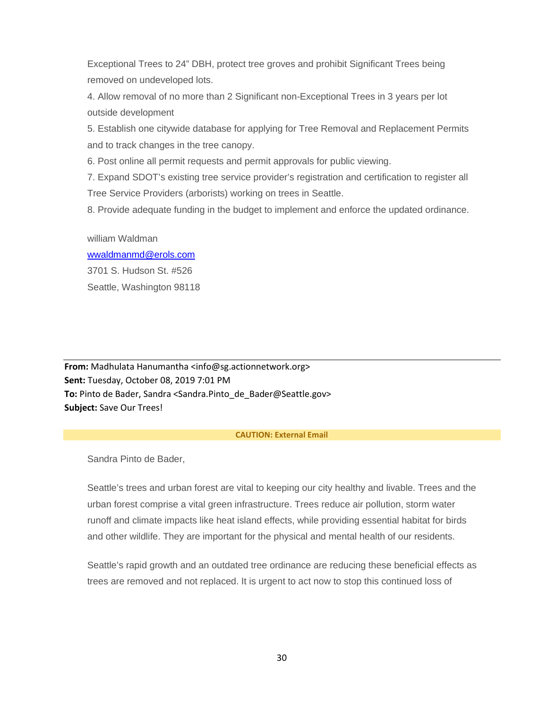Exceptional Trees to 24" DBH, protect tree groves and prohibit Significant Trees being removed on undeveloped lots.

4. Allow removal of no more than 2 Significant non-Exceptional Trees in 3 years per lot outside development

5. Establish one citywide database for applying for Tree Removal and Replacement Permits and to track changes in the tree canopy.

6. Post online all permit requests and permit approvals for public viewing.

7. Expand SDOT's existing tree service provider's registration and certification to register all Tree Service Providers (arborists) working on trees in Seattle.

8. Provide adequate funding in the budget to implement and enforce the updated ordinance.

## william Waldman

# [wwaldmanmd@erols.com](mailto:wwaldmanmd@erols.com) 3701 S. Hudson St. #526 Seattle, Washington 98118

**From:** Madhulata Hanumantha <info@sg.actionnetwork.org> **Sent:** Tuesday, October 08, 2019 7:01 PM **To:** Pinto de Bader, Sandra <Sandra.Pinto\_de\_Bader@Seattle.gov> **Subject:** Save Our Trees!

## **CAUTION: External Email**

Sandra Pinto de Bader,

Seattle's trees and urban forest are vital to keeping our city healthy and livable. Trees and the urban forest comprise a vital green infrastructure. Trees reduce air pollution, storm water runoff and climate impacts like heat island effects, while providing essential habitat for birds and other wildlife. They are important for the physical and mental health of our residents.

Seattle's rapid growth and an outdated tree ordinance are reducing these beneficial effects as trees are removed and not replaced. It is urgent to act now to stop this continued loss of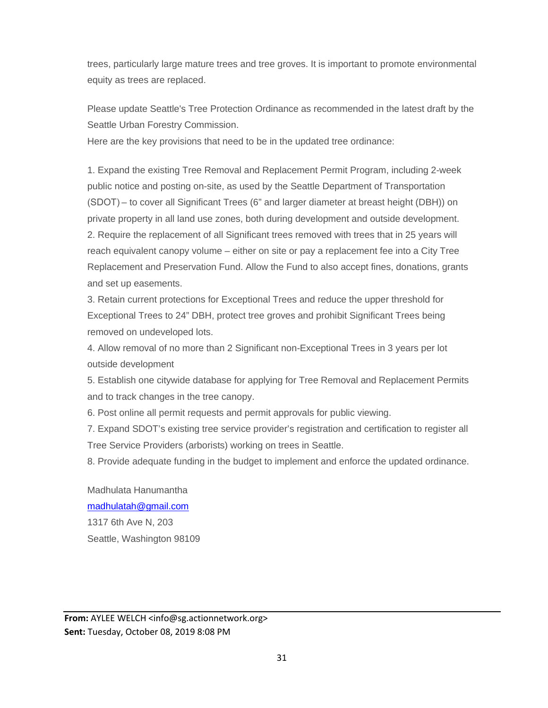trees, particularly large mature trees and tree groves. It is important to promote environmental equity as trees are replaced.

Please update Seattle's Tree Protection Ordinance as recommended in the latest draft by the Seattle Urban Forestry Commission.

Here are the key provisions that need to be in the updated tree ordinance:

1. Expand the existing Tree Removal and Replacement Permit Program, including 2-week public notice and posting on-site, as used by the Seattle Department of Transportation (SDOT) – to cover all Significant Trees (6" and larger diameter at breast height (DBH)) on private property in all land use zones, both during development and outside development. 2. Require the replacement of all Significant trees removed with trees that in 25 years will reach equivalent canopy volume – either on site or pay a replacement fee into a City Tree Replacement and Preservation Fund. Allow the Fund to also accept fines, donations, grants and set up easements.

3. Retain current protections for Exceptional Trees and reduce the upper threshold for Exceptional Trees to 24" DBH, protect tree groves and prohibit Significant Trees being removed on undeveloped lots.

4. Allow removal of no more than 2 Significant non-Exceptional Trees in 3 years per lot outside development

5. Establish one citywide database for applying for Tree Removal and Replacement Permits and to track changes in the tree canopy.

6. Post online all permit requests and permit approvals for public viewing.

7. Expand SDOT's existing tree service provider's registration and certification to register all Tree Service Providers (arborists) working on trees in Seattle.

8. Provide adequate funding in the budget to implement and enforce the updated ordinance.

Madhulata Hanumantha [madhulatah@gmail.com](mailto:madhulatah@gmail.com) 1317 6th Ave N, 203 Seattle, Washington 98109

From: AYLEE WELCH <info@sg.actionnetwork.org> **Sent:** Tuesday, October 08, 2019 8:08 PM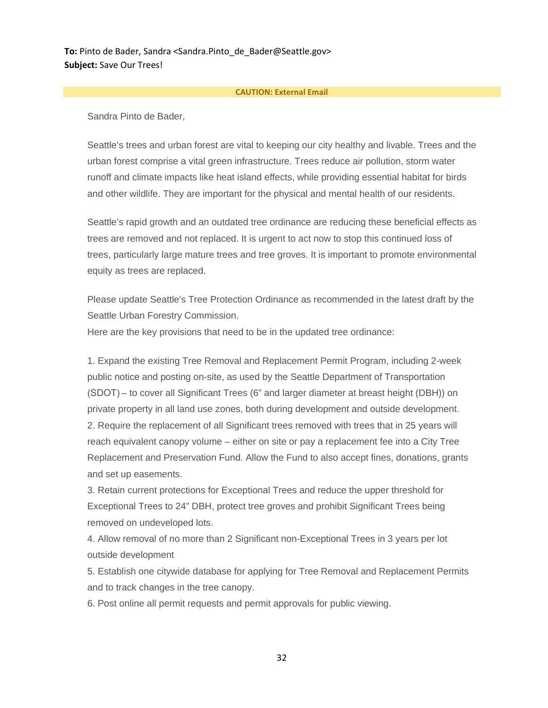**To:** Pinto de Bader, Sandra <Sandra.Pinto de Bader@Seattle.gov> **Subject:** Save Our Trees!

#### **CAUTION: External Email**

Sandra Pinto de Bader,

Seattle's trees and urban forest are vital to keeping our city healthy and livable. Trees and the urban forest comprise a vital green infrastructure. Trees reduce air pollution, storm water runoff and climate impacts like heat island effects, while providing essential habitat for birds and other wildlife. They are important for the physical and mental health of our residents.

Seattle's rapid growth and an outdated tree ordinance are reducing these beneficial effects as trees are removed and not replaced. It is urgent to act now to stop this continued loss of trees, particularly large mature trees and tree groves. It is important to promote environmental equity as trees are replaced.

Please update Seattle's Tree Protection Ordinance as recommended in the latest draft by the Seattle Urban Forestry Commission.

Here are the key provisions that need to be in the updated tree ordinance:

1. Expand the existing Tree Removal and Replacement Permit Program, including 2-week public notice and posting on-site, as used by the Seattle Department of Transportation (SDOT) – to cover all Significant Trees (6" and larger diameter at breast height (DBH)) on private property in all land use zones, both during development and outside development. 2. Require the replacement of all Significant trees removed with trees that in 25 years will reach equivalent canopy volume – either on site or pay a replacement fee into a City Tree Replacement and Preservation Fund. Allow the Fund to also accept fines, donations, grants and set up easements.

3. Retain current protections for Exceptional Trees and reduce the upper threshold for Exceptional Trees to 24" DBH, protect tree groves and prohibit Significant Trees being removed on undeveloped lots.

4. Allow removal of no more than 2 Significant non-Exceptional Trees in 3 years per lot outside development

5. Establish one citywide database for applying for Tree Removal and Replacement Permits and to track changes in the tree canopy.

6. Post online all permit requests and permit approvals for public viewing.

32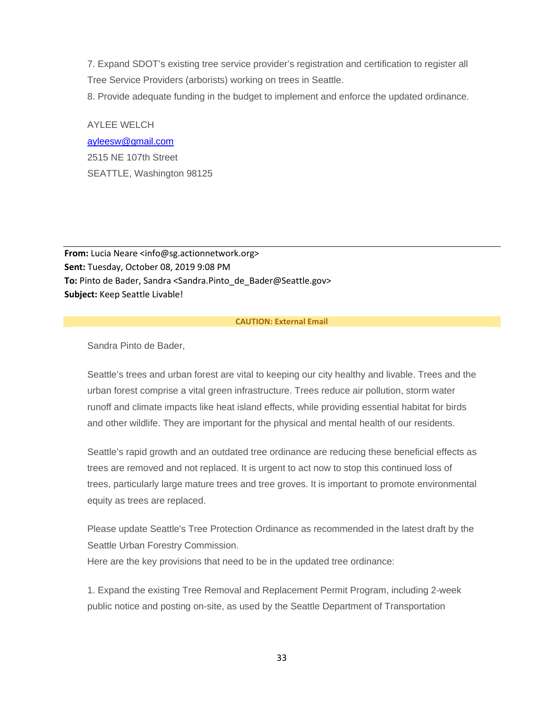7. Expand SDOT's existing tree service provider's registration and certification to register all Tree Service Providers (arborists) working on trees in Seattle.

8. Provide adequate funding in the budget to implement and enforce the updated ordinance.

AYLEE WELCH [ayleesw@gmail.com](mailto:ayleesw@gmail.com) 2515 NE 107th Street SEATTLE, Washington 98125

**From:** Lucia Neare <info@sg.actionnetwork.org> **Sent:** Tuesday, October 08, 2019 9:08 PM **To:** Pinto de Bader, Sandra <Sandra.Pinto\_de\_Bader@Seattle.gov> **Subject:** Keep Seattle Livable!

#### **CAUTION: External Email**

Sandra Pinto de Bader,

Seattle's trees and urban forest are vital to keeping our city healthy and livable. Trees and the urban forest comprise a vital green infrastructure. Trees reduce air pollution, storm water runoff and climate impacts like heat island effects, while providing essential habitat for birds and other wildlife. They are important for the physical and mental health of our residents.

Seattle's rapid growth and an outdated tree ordinance are reducing these beneficial effects as trees are removed and not replaced. It is urgent to act now to stop this continued loss of trees, particularly large mature trees and tree groves. It is important to promote environmental equity as trees are replaced.

Please update Seattle's Tree Protection Ordinance as recommended in the latest draft by the Seattle Urban Forestry Commission.

Here are the key provisions that need to be in the updated tree ordinance:

1. Expand the existing Tree Removal and Replacement Permit Program, including 2-week public notice and posting on-site, as used by the Seattle Department of Transportation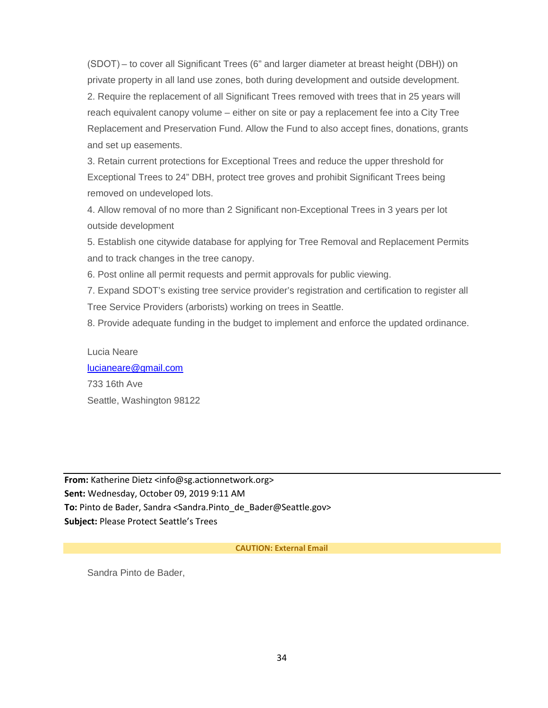(SDOT) – to cover all Significant Trees (6" and larger diameter at breast height (DBH)) on private property in all land use zones, both during development and outside development. 2. Require the replacement of all Significant Trees removed with trees that in 25 years will reach equivalent canopy volume – either on site or pay a replacement fee into a City Tree Replacement and Preservation Fund. Allow the Fund to also accept fines, donations, grants and set up easements.

3. Retain current protections for Exceptional Trees and reduce the upper threshold for Exceptional Trees to 24" DBH, protect tree groves and prohibit Significant Trees being removed on undeveloped lots.

4. Allow removal of no more than 2 Significant non-Exceptional Trees in 3 years per lot outside development

5. Establish one citywide database for applying for Tree Removal and Replacement Permits and to track changes in the tree canopy.

6. Post online all permit requests and permit approvals for public viewing.

7. Expand SDOT's existing tree service provider's registration and certification to register all Tree Service Providers (arborists) working on trees in Seattle.

8. Provide adequate funding in the budget to implement and enforce the updated ordinance.

Lucia Neare [lucianeare@gmail.com](mailto:lucianeare@gmail.com) 733 16th Ave Seattle, Washington 98122

**From:** Katherine Dietz <info@sg.actionnetwork.org> **Sent:** Wednesday, October 09, 2019 9:11 AM To: Pinto de Bader, Sandra <Sandra.Pinto de Bader@Seattle.gov> **Subject:** Please Protect Seattle's Trees

**CAUTION: External Email**

Sandra Pinto de Bader,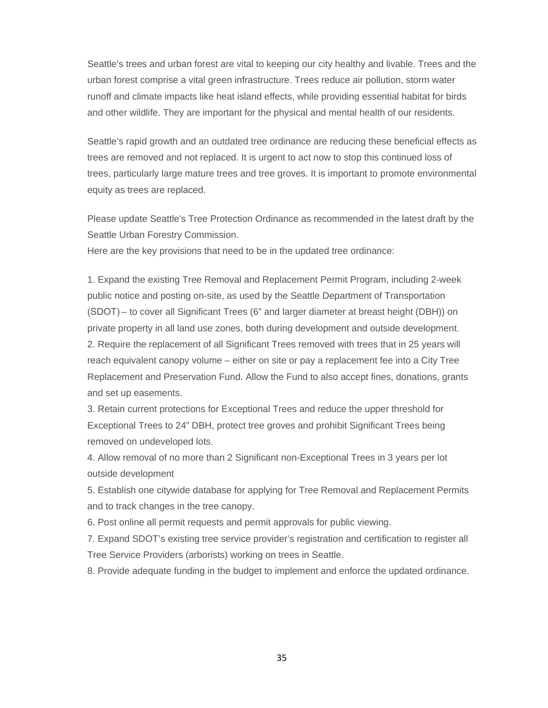Seattle's trees and urban forest are vital to keeping our city healthy and livable. Trees and the urban forest comprise a vital green infrastructure. Trees reduce air pollution, storm water runoff and climate impacts like heat island effects, while providing essential habitat for birds and other wildlife. They are important for the physical and mental health of our residents.

Seattle's rapid growth and an outdated tree ordinance are reducing these beneficial effects as trees are removed and not replaced. It is urgent to act now to stop this continued loss of trees, particularly large mature trees and tree groves. It is important to promote environmental equity as trees are replaced.

Please update Seattle's Tree Protection Ordinance as recommended in the latest draft by the Seattle Urban Forestry Commission.

Here are the key provisions that need to be in the updated tree ordinance:

1. Expand the existing Tree Removal and Replacement Permit Program, including 2-week public notice and posting on-site, as used by the Seattle Department of Transportation (SDOT) – to cover all Significant Trees (6" and larger diameter at breast height (DBH)) on private property in all land use zones, both during development and outside development. 2. Require the replacement of all Significant Trees removed with trees that in 25 years will reach equivalent canopy volume – either on site or pay a replacement fee into a City Tree Replacement and Preservation Fund. Allow the Fund to also accept fines, donations, grants and set up easements.

3. Retain current protections for Exceptional Trees and reduce the upper threshold for Exceptional Trees to 24" DBH, protect tree groves and prohibit Significant Trees being removed on undeveloped lots.

4. Allow removal of no more than 2 Significant non-Exceptional Trees in 3 years per lot outside development

5. Establish one citywide database for applying for Tree Removal and Replacement Permits and to track changes in the tree canopy.

6. Post online all permit requests and permit approvals for public viewing.

7. Expand SDOT's existing tree service provider's registration and certification to register all Tree Service Providers (arborists) working on trees in Seattle.

8. Provide adequate funding in the budget to implement and enforce the updated ordinance.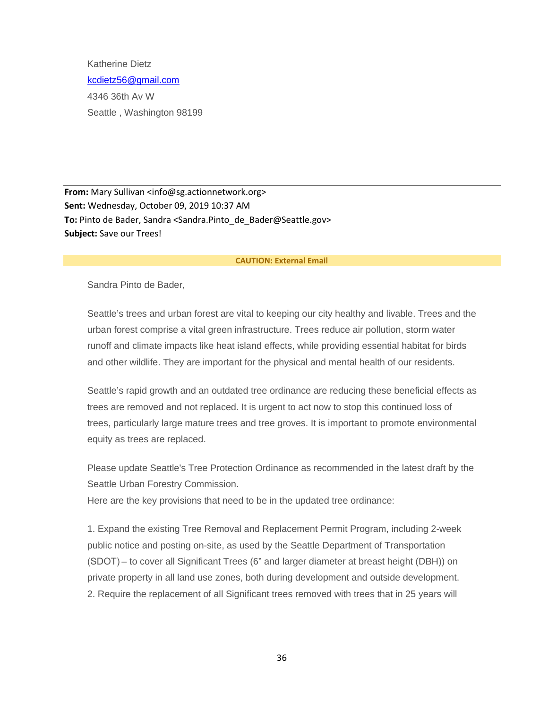Katherine Dietz [kcdietz56@gmail.com](mailto:kcdietz56@gmail.com) 4346 36th Av W Seattle , Washington 98199

From: Mary Sullivan <info@sg.actionnetwork.org> **Sent:** Wednesday, October 09, 2019 10:37 AM To: Pinto de Bader, Sandra <Sandra.Pinto de Bader@Seattle.gov> **Subject:** Save our Trees!

#### **CAUTION: External Email**

Sandra Pinto de Bader,

Seattle's trees and urban forest are vital to keeping our city healthy and livable. Trees and the urban forest comprise a vital green infrastructure. Trees reduce air pollution, storm water runoff and climate impacts like heat island effects, while providing essential habitat for birds and other wildlife. They are important for the physical and mental health of our residents.

Seattle's rapid growth and an outdated tree ordinance are reducing these beneficial effects as trees are removed and not replaced. It is urgent to act now to stop this continued loss of trees, particularly large mature trees and tree groves. It is important to promote environmental equity as trees are replaced.

Please update Seattle's Tree Protection Ordinance as recommended in the latest draft by the Seattle Urban Forestry Commission.

Here are the key provisions that need to be in the updated tree ordinance:

1. Expand the existing Tree Removal and Replacement Permit Program, including 2-week public notice and posting on-site, as used by the Seattle Department of Transportation (SDOT) – to cover all Significant Trees (6" and larger diameter at breast height (DBH)) on private property in all land use zones, both during development and outside development. 2. Require the replacement of all Significant trees removed with trees that in 25 years will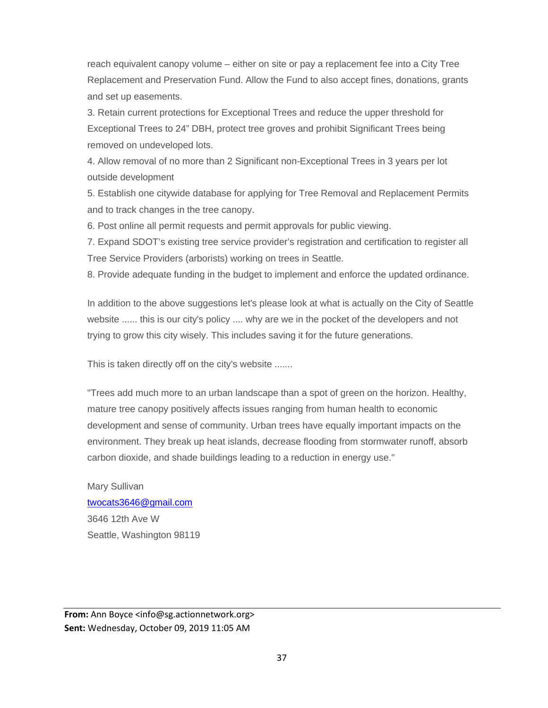reach equivalent canopy volume – either on site or pay a replacement fee into a City Tree Replacement and Preservation Fund. Allow the Fund to also accept fines, donations, grants and set up easements.

3. Retain current protections for Exceptional Trees and reduce the upper threshold for Exceptional Trees to 24" DBH, protect tree groves and prohibit Significant Trees being removed on undeveloped lots.

4. Allow removal of no more than 2 Significant non-Exceptional Trees in 3 years per lot outside development

5. Establish one citywide database for applying for Tree Removal and Replacement Permits and to track changes in the tree canopy.

6. Post online all permit requests and permit approvals for public viewing.

7. Expand SDOT's existing tree service provider's registration and certification to register all Tree Service Providers (arborists) working on trees in Seattle.

8. Provide adequate funding in the budget to implement and enforce the updated ordinance.

In addition to the above suggestions let's please look at what is actually on the City of Seattle website ...... this is our city's policy .... why are we in the pocket of the developers and not trying to grow this city wisely. This includes saving it for the future generations.

This is taken directly off on the city's website .......

"Trees add much more to an urban landscape than a spot of green on the horizon. Healthy, mature tree canopy positively affects issues ranging from human health to economic development and sense of community. Urban trees have equally important impacts on the environment. They break up heat islands, decrease flooding from stormwater runoff, absorb carbon dioxide, and shade buildings leading to a reduction in energy use."

Mary Sullivan [twocats3646@gmail.com](mailto:twocats3646@gmail.com) 3646 12th Ave W Seattle, Washington 98119

**From:** Ann Boyce <info@sg.actionnetwork.org> **Sent:** Wednesday, October 09, 2019 11:05 AM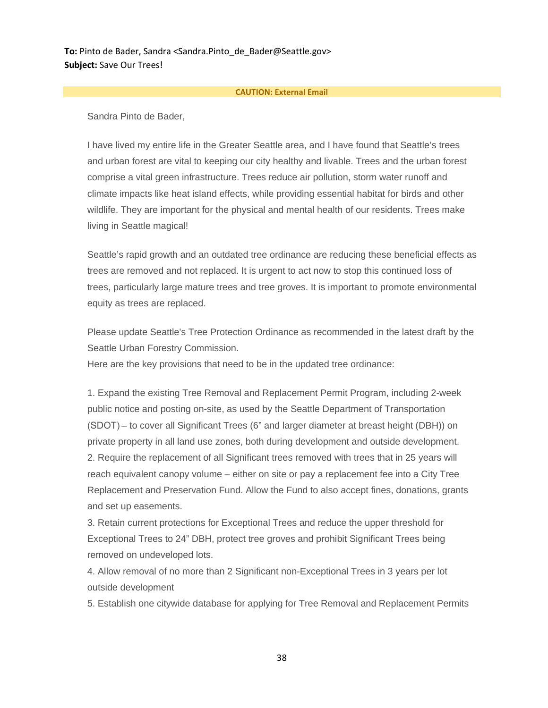**To:** Pinto de Bader, Sandra <Sandra.Pinto de Bader@Seattle.gov> **Subject:** Save Our Trees!

#### **CAUTION: External Email**

Sandra Pinto de Bader,

I have lived my entire life in the Greater Seattle area, and I have found that Seattle's trees and urban forest are vital to keeping our city healthy and livable. Trees and the urban forest comprise a vital green infrastructure. Trees reduce air pollution, storm water runoff and climate impacts like heat island effects, while providing essential habitat for birds and other wildlife. They are important for the physical and mental health of our residents. Trees make living in Seattle magical!

Seattle's rapid growth and an outdated tree ordinance are reducing these beneficial effects as trees are removed and not replaced. It is urgent to act now to stop this continued loss of trees, particularly large mature trees and tree groves. It is important to promote environmental equity as trees are replaced.

Please update Seattle's Tree Protection Ordinance as recommended in the latest draft by the Seattle Urban Forestry Commission.

Here are the key provisions that need to be in the updated tree ordinance:

1. Expand the existing Tree Removal and Replacement Permit Program, including 2-week public notice and posting on-site, as used by the Seattle Department of Transportation (SDOT) – to cover all Significant Trees (6" and larger diameter at breast height (DBH)) on private property in all land use zones, both during development and outside development. 2. Require the replacement of all Significant trees removed with trees that in 25 years will reach equivalent canopy volume – either on site or pay a replacement fee into a City Tree Replacement and Preservation Fund. Allow the Fund to also accept fines, donations, grants and set up easements.

3. Retain current protections for Exceptional Trees and reduce the upper threshold for Exceptional Trees to 24" DBH, protect tree groves and prohibit Significant Trees being removed on undeveloped lots.

4. Allow removal of no more than 2 Significant non-Exceptional Trees in 3 years per lot outside development

5. Establish one citywide database for applying for Tree Removal and Replacement Permits